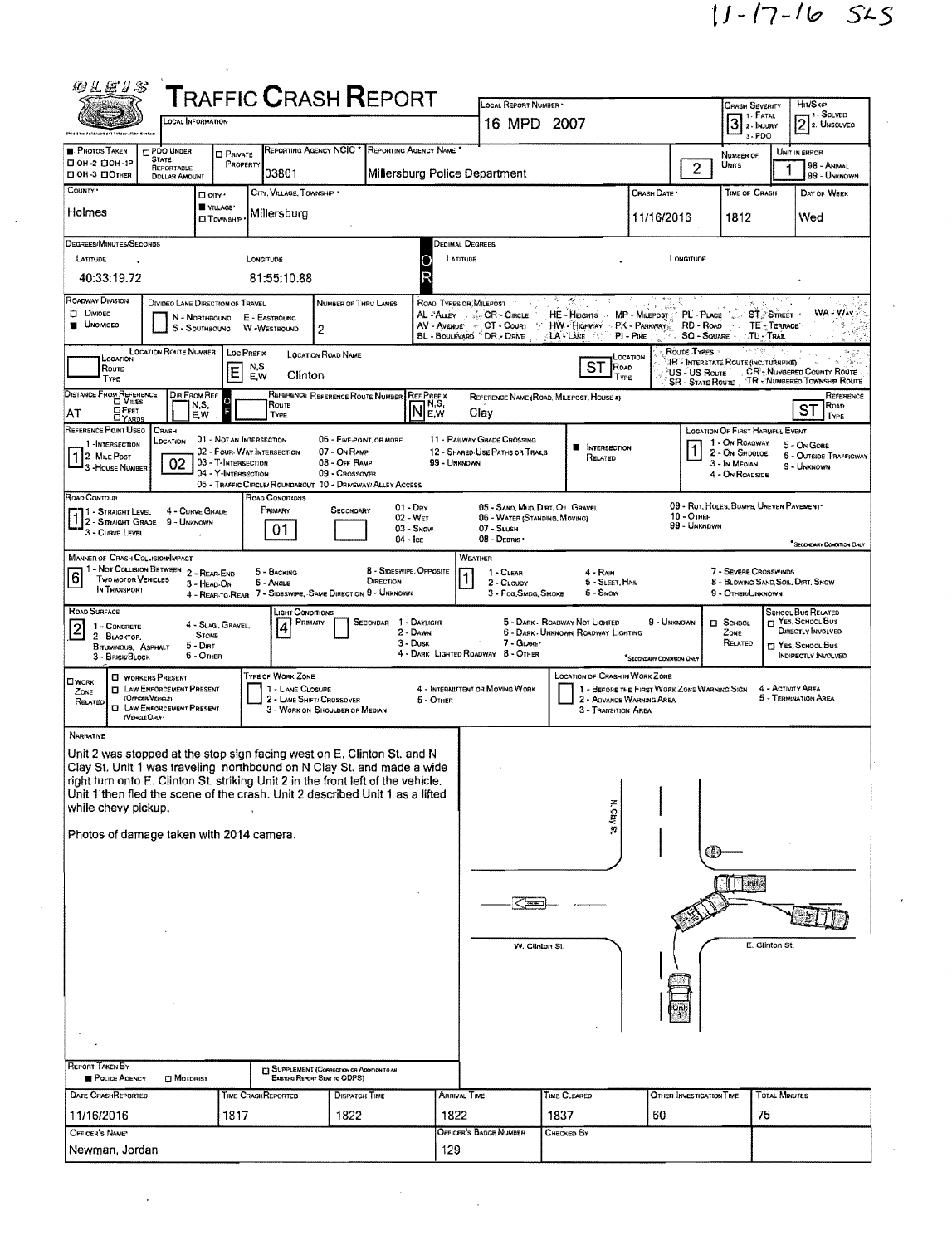|                                                                                                                                                                                                                                                                                                                                                                                                                                                    | <b>CCAL INFORMATION</b>                    | <b>TRAFFIC CRASH REPORT</b>                                             |                                                    |                                           | LOCAL REPORT NUMBER                                                    |                                                |                                                                         | <b>CRASH SEVERITY</b><br>3 <sup>1. FATAL</sup> |                          | Hrt/Skip<br>$21$ SOLVED<br>2 2. UNSOLVEO                       |
|----------------------------------------------------------------------------------------------------------------------------------------------------------------------------------------------------------------------------------------------------------------------------------------------------------------------------------------------------------------------------------------------------------------------------------------------------|--------------------------------------------|-------------------------------------------------------------------------|----------------------------------------------------|-------------------------------------------|------------------------------------------------------------------------|------------------------------------------------|-------------------------------------------------------------------------|------------------------------------------------|--------------------------|----------------------------------------------------------------|
| Ohio tem zatarusment tatormatian Kystan                                                                                                                                                                                                                                                                                                                                                                                                            |                                            |                                                                         |                                                    |                                           | 16 MPD 2007                                                            |                                                |                                                                         |                                                | a-PDO                    |                                                                |
| <b>PHOTOS TAKEN</b><br><b>TIPDO UNDER</b><br><b>STATE</b><br>□ ОН-2 □ ОН-1Р<br>REPORTABLE                                                                                                                                                                                                                                                                                                                                                          | <b>D</b> PRIVATE<br>PROPERTY               | REPORTING AGENCY NCIC <sup>*</sup>                                      |                                                    | REPORTING AGENCY NAME                     |                                                                        |                                                |                                                                         | NUMBER OF<br>UNITS<br>$\overline{2}$           |                          | UNIT IN ERROR<br>98 - Animal                                   |
| <b>00H-3 00THER</b><br><b>DOLLAR AMOUNT</b><br>COUNTY .                                                                                                                                                                                                                                                                                                                                                                                            |                                            | 03801<br>CITY, VILLAGE, TOWNSHIP                                        |                                                    | Millersburg Police Department             |                                                                        |                                                | CRASH DATE                                                              | TIME OF CRASH                                  |                          | 99 - UNKNOWN<br>DAY OF WEEK                                    |
| Holmes                                                                                                                                                                                                                                                                                                                                                                                                                                             | $\Box$ cary $\cdot$<br>VILLAGE*            | Millersburg                                                             |                                                    |                                           |                                                                        |                                                | 11/16/2016                                                              | 1812                                           |                          | Wed                                                            |
|                                                                                                                                                                                                                                                                                                                                                                                                                                                    | <b>CJ TOWNSHIP</b>                         |                                                                         |                                                    |                                           |                                                                        |                                                |                                                                         |                                                |                          |                                                                |
| DEGREES/MINUTES/SECONDS<br><b>LATITUDE</b>                                                                                                                                                                                                                                                                                                                                                                                                         |                                            | LONGITUDE                                                               |                                                    | <b>DECIMAL DEGREES</b><br>LATITUDE        |                                                                        |                                                | LONGITUDE                                                               |                                                |                          |                                                                |
| 40:33:19.72                                                                                                                                                                                                                                                                                                                                                                                                                                        |                                            | 81:55:10.88                                                             |                                                    |                                           |                                                                        |                                                |                                                                         |                                                |                          |                                                                |
| ROADWAY DIVISION<br><b>DIVIDED</b>                                                                                                                                                                                                                                                                                                                                                                                                                 | DIVIDEO LANE DIRECTION OF TRAVEL           |                                                                         | NUMBER OF THRU LANES                               | ROAD TYPES OR MILEPOST<br>AL-ALLEY        | CR - Cincus                                                            |                                                | MP - MILEPOST : PL - PLACE                                              |                                                | <b>B</b> 15<br>ST STREET | <b>WA-WAY-</b>                                                 |
| <b>UNOIVIDED</b>                                                                                                                                                                                                                                                                                                                                                                                                                                   | N - Northbound<br>S - Southboung           | E - Eastbound<br>W-Westbound<br>$\overline{2}$                          |                                                    | AV - AVENUE                               | CT - Count<br>$\mathbb{Z}^n$<br>BL - BOULEVARD <sup>"</sup> DR - DRIVE | HE-HEIGHTS<br>HW - Highway<br><b>LA - Line</b> | PK - Parinway<br>$PI - P_{IKE}$                                         | AA AV<br>RD - Road<br>SQ - SQUARE              | TE-TERRACE<br>∵TL - Trae |                                                                |
| <b>LOCATION ROUTE NUMBER</b><br>LOCATION                                                                                                                                                                                                                                                                                                                                                                                                           |                                            | LOC PREFIX                                                              | LOCATION ROAD NAME                                 |                                           |                                                                        |                                                | Route Types<br>LOCATION                                                 | <b>JR - INTERSTATE ROUTE (INC. TURNPIKE)</b>   |                          | Parti                                                          |
| Route<br>Type                                                                                                                                                                                                                                                                                                                                                                                                                                      | Е                                          | N,S,<br>Clinton<br>E,W                                                  |                                                    |                                           |                                                                        | <b>ST</b><br>ROAD<br>l Type                    |                                                                         | US - US Route<br><b>SR - STATE ROUTE</b>       |                          | CR'- NUMBERED COUNTY ROUTE<br>TR - NUMBERED TOWNSHIP ROUTE     |
| DISTANCE FROM REFERENCE<br>⊡ M⊪es<br>ΩFεετ                                                                                                                                                                                                                                                                                                                                                                                                         | Dir From Ref<br>N,S,<br>F                  | Route                                                                   | REFERENCE REFERENCE ROUTE NUMBER                   | <b>REF PREFIX</b><br>1 N,S,<br><b>NEW</b> | REFERENCE NAME (ROAD, MILEPOST, HOUSE #)                               |                                                |                                                                         |                                                |                          | REFERENCE<br>Road)<br>ST                                       |
| AT<br><b>LYARDS</b><br>REFERENCE POINT USEO<br><b>CRASH</b>                                                                                                                                                                                                                                                                                                                                                                                        | E,W                                        | TYPE                                                                    |                                                    |                                           | Clav                                                                   |                                                |                                                                         | LOCATION OF FIRST HARMFUL EVENT                |                          | TYPE                                                           |
| LDCATION<br>1-INTERSECTION<br>$12$ -Mae Post                                                                                                                                                                                                                                                                                                                                                                                                       | 01 - NOT AN INTERSECTION                   | 02 - FOUR-WAY INTERSECTION                                              | 06 - FIVE POINT, OR MORE<br>07 - On RAMP           |                                           | <b>11 - RAILWAY GRADE CROSSING</b><br>12 - SHARED-USE PATHS OR TRAILS  | <b>NITERSECTION</b><br>RELATED                 |                                                                         | 1 - On ROADWAY<br>2 - On Shouloe               |                          | 5 - On Gore<br>6 - OUTSIDE TRAFFICWAY                          |
| 02<br>3-HOUSE NUMBER                                                                                                                                                                                                                                                                                                                                                                                                                               | 03 - T-Intersection<br>04 - Y-INTERSECTION | 05 - TRAFFIC CIRCLE/ ROUNDABOUT 10 - DRIVEWAY/ ALLEY ACCESS             | 08 - OFF RAMP<br>09 - Crossover                    | 99 - UNKNOWN                              |                                                                        |                                                |                                                                         | 3 - In Median<br>4 - On ROADSIDE               |                          | 9 - UNKNOWN                                                    |
| ROAD CONTOUR                                                                                                                                                                                                                                                                                                                                                                                                                                       |                                            | ROAD CONDITIONS<br>PRIMARY                                              | SECONDARY                                          | $01 - \text{Day}$                         | 05 - SANO, MUD, DIRT, OIL, GRAVEL                                      |                                                |                                                                         | 09 - Rut, HOLES, BUMPS, UNEVEN PAVEMENT*       |                          |                                                                |
| 11 - STRAIGHT LEVEL<br>12 - Straight Grade<br>3 - Curve Level                                                                                                                                                                                                                                                                                                                                                                                      | 4 - CURVE GRADE<br>9 - UNKNOWN             | 01                                                                      |                                                    | 02 - WET<br>$03 -$ Snow                   | 06 - WATER (STANDING, MOVING)<br>$07 -$ SLUSH                          |                                                | $10 -$ OTHER                                                            | 99 - UNKNDWN                                   |                          |                                                                |
| <b>MANNER OF CRASH COLLISION/IMPACT</b>                                                                                                                                                                                                                                                                                                                                                                                                            |                                            |                                                                         |                                                    | $04 -$ Ice                                | 08 - DEBRIS<br>WEATHER                                                 |                                                |                                                                         |                                                |                          | <sup>*</sup> SECONDARY CONDITION DINLY                         |
| 1 - Not Collision Between 2 - Rear-End<br>$\overline{6}$<br>TWO MOTOR VEHICLES                                                                                                                                                                                                                                                                                                                                                                     |                                            | 5 - BACKING                                                             | DIRECTION                                          | 8 - Sineswipe, Opposite                   | 1 - CLEAR                                                              | 4 - RAIN                                       |                                                                         | 7 - SEVERE CROSSWINDS                          |                          |                                                                |
|                                                                                                                                                                                                                                                                                                                                                                                                                                                    |                                            |                                                                         |                                                    |                                           |                                                                        |                                                |                                                                         |                                                |                          |                                                                |
| IN TRANSPORT                                                                                                                                                                                                                                                                                                                                                                                                                                       | 3 - HEAD-ON                                | 6 - Angle<br>4 - REAR-TO-REAR 7 - SIDESWIPE, SAME DIRECTION 9 - UNKNOWN |                                                    |                                           | 2 - CLOUDY<br>3 - Fog, SMDG, SMOKE                                     | 5 - SLEET, HAIL<br>6 - SNOW                    |                                                                         | 9 - OTHER/UNKNOWN                              |                          | 8 - BLOWING SAND, SOL, DIRT, SNOW                              |
| 1 - CONCRETE                                                                                                                                                                                                                                                                                                                                                                                                                                       | 4 - SLAG, GRAVEL,                          | <b>LIGHT CONDITIONS</b><br>PRIMARY<br>4                                 | SECONDAR 1 - DAYLIGHT                              |                                           |                                                                        | 5 - DARK - ROADWAY NOT LIGHTED                 | 9 - UNKNOWN                                                             | <b>D</b> SCHDOL                                |                          | <b>SCHOOL BUS RELATED</b><br>YES. SCHOOL BUS                   |
| 2 - BLACKTOP.<br>BITUMINOUS, ASPHALT                                                                                                                                                                                                                                                                                                                                                                                                               | <b>STONE</b><br>$5 -$ Dirt                 |                                                                         |                                                    | 2 - DAWN<br>$3 -$ Dusk                    | 7 - GLARE*<br>4 - DARK - LIGHTED ROADWAY 8 - OTHER                     | 6 - DARK - UNKNOWN ROADWAY LIGHTING            |                                                                         | Zone<br>RELATED                                |                          | DIRECTLY INVOLVED<br>TJ YES, SCHOOL BUS<br>INDIRECTLY INVOLVED |
| 3 - BRICK BLOCK<br><b>CI WORKERS PRESENT</b>                                                                                                                                                                                                                                                                                                                                                                                                       | $6 -$ Other                                | TYPE OF WORK ZONE                                                       |                                                    |                                           |                                                                        | LOCATION OF CRASH IN WORK ZONE                 | *SECONDARY CONDITION ONLY                                               |                                                |                          |                                                                |
| <b>I LAW ENFORCEMENT PRESENT</b><br>ZDNE<br>(OFFICER/VEHICLE)<br>RELATED                                                                                                                                                                                                                                                                                                                                                                           |                                            | 1 - LANE CLOSURE<br>2 - LANE SHIFT/ CROSSOVER                           |                                                    | 5 - OTHER                                 | 4 - INTERMITTENT OR MOVING WORK                                        |                                                | 1 - BEFORE THE FIRST WORK ZONE WARNING SIGN<br>2 - ADVANCE WARNING AREA |                                                | 4 - Activity Area        | 5 - TERMINATION AREA                                           |
| ROAD SURFACE<br>$\overline{2}$<br>OWORK<br><b>CI LAW ENFORCEMENT PRESENT</b><br>(VEHICLE OM.Y)                                                                                                                                                                                                                                                                                                                                                     |                                            |                                                                         | 3 - WORK ON SHOULDER OR MEDIAN                     |                                           |                                                                        | <b>3 - TRANSITION AREA</b>                     |                                                                         |                                                |                          |                                                                |
| NARRATNE                                                                                                                                                                                                                                                                                                                                                                                                                                           |                                            |                                                                         |                                                    |                                           |                                                                        |                                                |                                                                         |                                                |                          |                                                                |
|                                                                                                                                                                                                                                                                                                                                                                                                                                                    |                                            |                                                                         |                                                    |                                           |                                                                        |                                                |                                                                         |                                                |                          |                                                                |
|                                                                                                                                                                                                                                                                                                                                                                                                                                                    |                                            |                                                                         |                                                    |                                           |                                                                        |                                                |                                                                         |                                                |                          |                                                                |
|                                                                                                                                                                                                                                                                                                                                                                                                                                                    |                                            |                                                                         |                                                    |                                           |                                                                        |                                                |                                                                         |                                                |                          |                                                                |
|                                                                                                                                                                                                                                                                                                                                                                                                                                                    |                                            |                                                                         |                                                    |                                           |                                                                        | N. Clay St                                     |                                                                         |                                                |                          |                                                                |
|                                                                                                                                                                                                                                                                                                                                                                                                                                                    |                                            |                                                                         |                                                    |                                           |                                                                        |                                                |                                                                         |                                                |                          |                                                                |
|                                                                                                                                                                                                                                                                                                                                                                                                                                                    |                                            |                                                                         |                                                    |                                           |                                                                        |                                                |                                                                         | $\prod$ unit $\approx$                         |                          |                                                                |
|                                                                                                                                                                                                                                                                                                                                                                                                                                                    |                                            |                                                                         |                                                    |                                           |                                                                        |                                                |                                                                         |                                                |                          |                                                                |
|                                                                                                                                                                                                                                                                                                                                                                                                                                                    |                                            |                                                                         |                                                    |                                           | W. Clinton St.                                                         |                                                |                                                                         |                                                | E. Clinton St.           |                                                                |
|                                                                                                                                                                                                                                                                                                                                                                                                                                                    |                                            |                                                                         |                                                    |                                           |                                                                        |                                                |                                                                         |                                                |                          |                                                                |
|                                                                                                                                                                                                                                                                                                                                                                                                                                                    |                                            |                                                                         |                                                    |                                           |                                                                        |                                                |                                                                         |                                                |                          |                                                                |
|                                                                                                                                                                                                                                                                                                                                                                                                                                                    |                                            |                                                                         |                                                    |                                           |                                                                        |                                                |                                                                         |                                                |                          |                                                                |
|                                                                                                                                                                                                                                                                                                                                                                                                                                                    |                                            |                                                                         |                                                    |                                           |                                                                        |                                                |                                                                         |                                                |                          |                                                                |
|                                                                                                                                                                                                                                                                                                                                                                                                                                                    |                                            |                                                                         | <b>CI SUPPLEMENT (CORRECTION OR ADDITION TO AN</b> |                                           |                                                                        |                                                |                                                                         |                                                |                          |                                                                |
| Unit 2 was stopped at the stop sign facing west on E. Clinton St. and N<br>Clay St. Unit 1 was traveling northbound on N Clay St. and made a wide<br>right turn onto E. Clinton St. striking Unit 2 in the front left of the vehicle.<br>Unit 1 then fled the scene of the crash. Unit 2 described Unit 1 as a lifted<br>while chevy pickup.<br>Photos of damage taken with 2014 camera.<br>REPORT TAKEN BY<br>POLICE AGENCY<br>DATE CRASHREPORTED | $\square$ Motorist                         | EXISTING REPORT SENT TO ODPS)<br>TIME CRASHREPORTED                     | <b>DISPATCH TIME</b>                               | ARRIVAL TIME                              |                                                                        | TIME CLEARED                                   |                                                                         | OTHER INVESTIGATION TIME                       | TOTAL MINUTES            |                                                                |

 $\label{eq:2.1} \mathcal{L}_{\mathcal{A}}(x,y) = \mathcal{L}_{\mathcal{A}}(x,y) = \mathcal{L}_{\mathcal{A}}(x,y) = \mathcal{L}_{\mathcal{A}}(x,y) = \mathcal{L}_{\mathcal{A}}(x,y) = \mathcal{L}_{\mathcal{A}}(x,y)$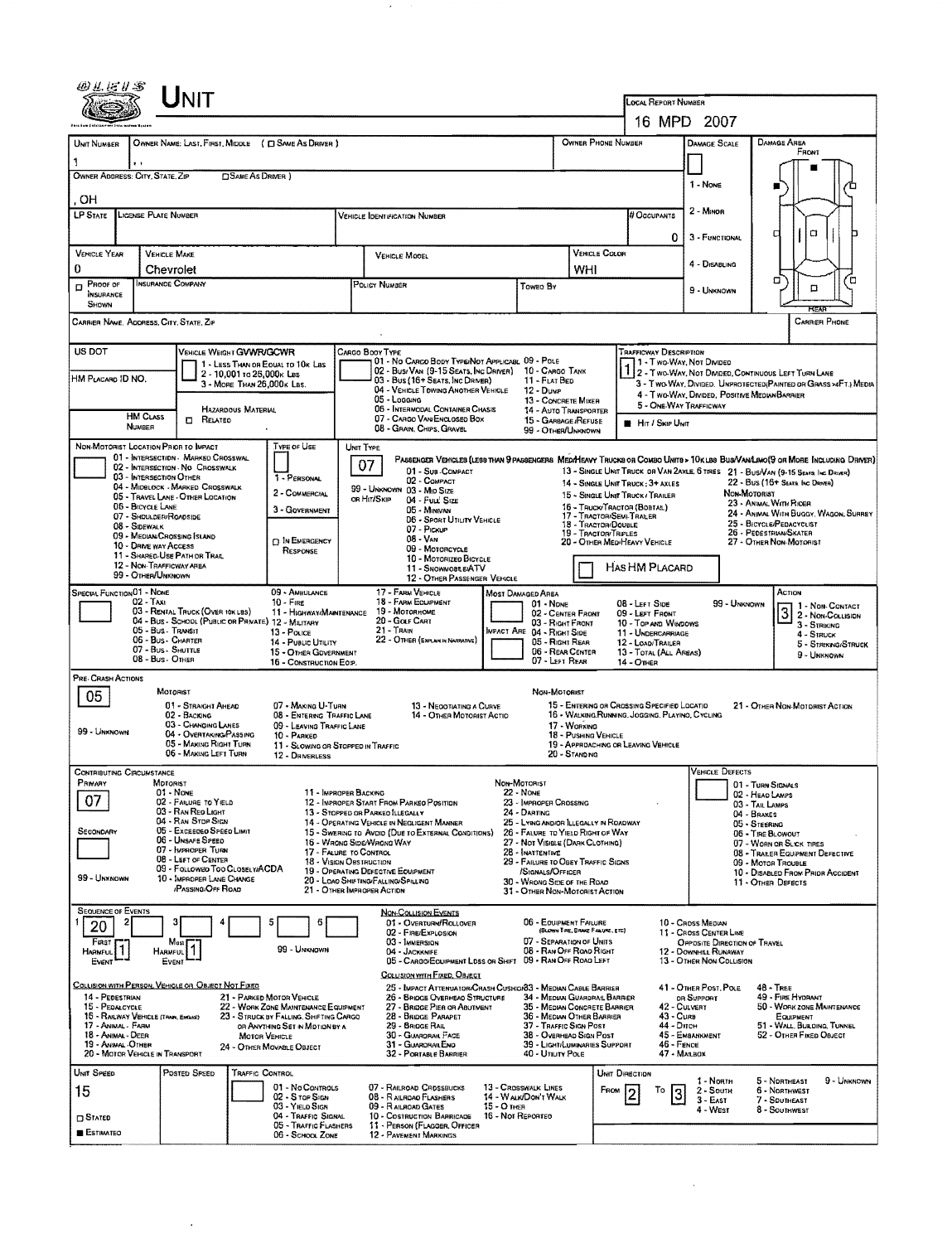|                                          |                                                                              |                                                                |                                                                                | <b>LOCAL REPORT NUMBER</b><br>16 MPD 2007 |                                                                                                                                                       |                                                                               |                                                                                                                             |                                                         |                                                                                                |                                                      |                                      |                                                                                   |  |  |  |
|------------------------------------------|------------------------------------------------------------------------------|----------------------------------------------------------------|--------------------------------------------------------------------------------|-------------------------------------------|-------------------------------------------------------------------------------------------------------------------------------------------------------|-------------------------------------------------------------------------------|-----------------------------------------------------------------------------------------------------------------------------|---------------------------------------------------------|------------------------------------------------------------------------------------------------|------------------------------------------------------|--------------------------------------|-----------------------------------------------------------------------------------|--|--|--|
|                                          |                                                                              |                                                                |                                                                                |                                           |                                                                                                                                                       |                                                                               |                                                                                                                             |                                                         |                                                                                                |                                                      |                                      |                                                                                   |  |  |  |
| UNIT NUMBER                              |                                                                              |                                                                | OWNER NAME: LAST, FIRST, MIDDLE ( C SAME AS DRIVER )                           |                                           |                                                                                                                                                       |                                                                               | OWNER PHONE NUMBER                                                                                                          |                                                         |                                                                                                | <b>DAMAGE SCALE</b>                                  | Damage Area<br>FRONT                 |                                                                                   |  |  |  |
| OWNER ADDRESS: CITY, STATE, ZIP          |                                                                              | SAME AS DRIVER )                                               |                                                                                |                                           |                                                                                                                                                       |                                                                               |                                                                                                                             |                                                         |                                                                                                |                                                      |                                      |                                                                                   |  |  |  |
|                                          |                                                                              |                                                                |                                                                                |                                           |                                                                                                                                                       |                                                                               |                                                                                                                             |                                                         |                                                                                                | 1 - NONE                                             |                                      |                                                                                   |  |  |  |
| OН<br>LP STATE                           | <b>LICENSE PLATE NUMBER</b>                                                  |                                                                |                                                                                |                                           | <b>VEHICLE IDENTIFICATION NUMBER</b>                                                                                                                  |                                                                               |                                                                                                                             |                                                         | # Occupants                                                                                    | 2 - MINOR                                            |                                      |                                                                                   |  |  |  |
|                                          |                                                                              |                                                                |                                                                                |                                           |                                                                                                                                                       |                                                                               |                                                                                                                             |                                                         | 0                                                                                              | 3 - FUNCTIONAL                                       |                                      | o<br>а                                                                            |  |  |  |
| <b>VEHICLE YEAR</b>                      | <b>VEHICLE MAKE</b>                                                          |                                                                |                                                                                |                                           | <b>VEHICLE MOOEL</b>                                                                                                                                  |                                                                               | VEHICLE COLOR                                                                                                               |                                                         |                                                                                                |                                                      |                                      |                                                                                   |  |  |  |
| 0                                        | Chevrolet                                                                    |                                                                |                                                                                |                                           |                                                                                                                                                       |                                                                               | WHI                                                                                                                         |                                                         |                                                                                                | 4 - DISABLING                                        |                                      |                                                                                   |  |  |  |
| Proof of<br>D<br>INSURANCE<br>SHOWN      | INSURANCE COMPANY                                                            |                                                                |                                                                                |                                           | POLICY NUMBER                                                                                                                                         | Toweo By                                                                      |                                                                                                                             |                                                         |                                                                                                | 9 - UNKNOWN                                          |                                      | α<br>о                                                                            |  |  |  |
|                                          | CARRIER NAME, ADDRESS, CITY, STATE, ZIP                                      |                                                                |                                                                                |                                           |                                                                                                                                                       |                                                                               |                                                                                                                             |                                                         |                                                                                                |                                                      |                                      | CARRIER PHONE                                                                     |  |  |  |
| US DOT                                   |                                                                              | VEHICLE WEIGHT GWWR/GCWR                                       |                                                                                |                                           | CARGO BOOY TYPE                                                                                                                                       |                                                                               |                                                                                                                             |                                                         | <b>TRAFFICWAY DESCRIPTION</b>                                                                  |                                                      |                                      |                                                                                   |  |  |  |
| HM PLACARD ID NO.                        |                                                                              | 1 - LESS THAN OR EQUAL TO 10K LBS<br>2 - 10.001 to 26.000k Las |                                                                                |                                           | 01 - No CARGO BODY TYPE/NOT APPLICABL 09 - POLE<br>02 - Bus/Van (9-15 Seats, Ing Driver) 10 - Cargo Tank                                              |                                                                               |                                                                                                                             |                                                         |                                                                                                | 1 - Two-Way, Not Divided                             |                                      | 2 - TWO-WAY, NOT DIVIDED, CONTINUOUS LEFT TURN LANE                               |  |  |  |
|                                          |                                                                              | 3 - MORE THAN 26,000K LBS.                                     |                                                                                |                                           | 03 - Bus (16+ Seats, Inc Driver)<br>04 - VEHICLE TOWING ANOTHER VEHICLE<br>05 - Logging                                                               | 11 - FLAT BED<br>$12 - D$ unup                                                |                                                                                                                             |                                                         |                                                                                                | 4 - Two-WAY, DIVIDED, POSITIVE MEDIANBARRIER         |                                      | 3 - Two Way, Divided, Unprotected Painted or Grass >4FT.) Media                   |  |  |  |
|                                          | <b>HM CLASS</b>                                                              | <b>HAZARDOUS MATERIAL</b>                                      |                                                                                |                                           | <b>06 - INTERMODAL CONTAINER CHASIS</b><br>07 - CARGO VAN ENCLOSEO BOX                                                                                | 13 - CONCRETE MIXER<br><b>14 - AUTO TRANSPORTER</b>                           |                                                                                                                             |                                                         | 5 - ONE-WAY TRAFFICWAY                                                                         |                                                      |                                      |                                                                                   |  |  |  |
|                                          | NUMBER                                                                       | <b>D</b> RELATED                                               |                                                                                |                                           | 08 - GRAIN, CHIPS, GRAVEL                                                                                                                             | 15 - GARBAGE /REFUSE<br>99 - OTHER/UNKNOWN                                    |                                                                                                                             |                                                         | <b>HIT / SKIP UNIT</b>                                                                         |                                                      |                                      |                                                                                   |  |  |  |
|                                          | NON-MOTORIST LOCATION PRIOR TO IMPACT<br>01 - INTERSECTION - MARKED CROSSWAL |                                                                | Type or Use                                                                    | UNIT TYPE                                 |                                                                                                                                                       |                                                                               |                                                                                                                             |                                                         |                                                                                                |                                                      |                                      |                                                                                   |  |  |  |
|                                          | 02 - INTERSECTION - NO CROSSWALK<br>03 - INTERSECTION OTHER                  |                                                                | 1 - PERSONAL                                                                   |                                           | PASSENGER VEHICLES (LESS THAN SPASSENGERS MEDIMEAVY TRUCKS OR COMBO UNITS > 10KLBS BUS/VAN/LIMO(S OR MORE INCLUDING DRIVER)<br>07<br>01 - Sub-COMPACT |                                                                               |                                                                                                                             |                                                         |                                                                                                |                                                      |                                      | 13 - SINGLE UNIT TRUCK OR VAN 2AXLE, 6 TRES 21 - BUS/VAN (9-15 SEATS. INC DRIVER) |  |  |  |
|                                          | 04 - MIDBLOCK - MARKED CROSSWALK<br>05 - TRAVEL LANE - OTHER LOCATION        |                                                                | 2 - COMMERCIAL                                                                 |                                           | 02 - COMPACT<br>99 - UNKNOWN 03 - MID SIZE<br>OR HIT/SKIP                                                                                             |                                                                               | 15 - Single Unit Truck / Trailer                                                                                            |                                                         | 14 - SINGLE UNIT TRUCK: 3+ AXLES                                                               |                                                      | Non-Motorist                         | 22 - Bus (16+ SEATA INC DRIVER)                                                   |  |  |  |
|                                          | 06 - BICYCLE LANE<br>07 - SHOULDER/ROADSIDE                                  |                                                                | 3 - GOVERNMENT                                                                 |                                           | 04 - Fuul Size<br>05 - MINIVAN                                                                                                                        |                                                                               | 23 - ANIMAL WITH RIDER<br>16 - TRUCK/TRACTOR (BOBTAIL)<br>24 - ANIMAL WITH BUGGY, WAGON, SURREY<br>17 - TRACTOR/SEMI-TRALER |                                                         |                                                                                                |                                                      |                                      |                                                                                   |  |  |  |
|                                          | 08 - SIDEWALK<br>09 - MEDIAN CROSSING SLAND                                  |                                                                |                                                                                |                                           | 06 - Spart UTILITY VEHICLE<br>07 - Pickup                                                                                                             |                                                                               | 18 - TRACTOR/DOUBLE<br>19 - TRACTOR/TRIPLES                                                                                 |                                                         | 25 - BICYCLE/PEDACYCLIST<br>26 - PEDESTRIAN/SKATER                                             |                                                      |                                      |                                                                                   |  |  |  |
|                                          | 10 - DRIVE WAY ACCESS<br>11 - SHARED-USE PATH OR TRAIL                       |                                                                | <b>D IN EMERGENCY</b><br>RESPONSE                                              |                                           | 08 - VAN<br>09 - MOTORCYCLE                                                                                                                           |                                                                               | 20 - OTHER MEDIMEAVY VEHICLE<br>27 - OTHER NON-MOTORIST                                                                     |                                                         |                                                                                                |                                                      |                                      |                                                                                   |  |  |  |
|                                          | 12 - NON-TRAFFICWAY AREA<br>99 - OTHER/UNKNOWN                               |                                                                |                                                                                |                                           | 10 - MOTORIZEO BICYCLE<br>11 - SNOWMOBLE/ATV<br>12 - OTHER PASSENGER VEHICLE                                                                          |                                                                               |                                                                                                                             |                                                         | HAS HM PLACARD                                                                                 |                                                      |                                      |                                                                                   |  |  |  |
| Special Function 01 - None               |                                                                              |                                                                | 09 - AMBULANCE                                                                 |                                           | 17 - FARM VEHICLE                                                                                                                                     | MOST DAMAGED AREA                                                             |                                                                                                                             |                                                         |                                                                                                |                                                      |                                      | ACTION                                                                            |  |  |  |
|                                          | 02 - Taxi<br>03 - RENTAL TRUCK (OVER 10K LBS)                                |                                                                | $10 -$ Fine<br>11 - HIGHWAY/MAINTENANCE                                        |                                           | 18 - FARM EQUIPMENT<br>19 - MOTORHOME                                                                                                                 | $01 - None$                                                                   | 02 - CENTER FRONT                                                                                                           |                                                         | 08 - LEFT SIDE<br>09 - LEFT FRONT                                                              | 99 - Unknown                                         |                                      | $31 - \frac{1 - \text{Non-Contract}}{2 - \text{Non-Conject}}$                     |  |  |  |
|                                          | 04 - BUS - SCHOOL (PUBLIC OR PRIVATE) 12 - MILITARY<br>05 - Bus - Transit    |                                                                | 13 - POLICE                                                                    |                                           | 20 - GOLF CART<br>$21 -$ TRAIN                                                                                                                        | <b>IMPACT ARE 04 - RIGHT SIDE</b><br>05 - Right Rear                          | 03 - RIGHT FRONT                                                                                                            |                                                         | 10 - TOP AND WINDOWS<br>11 - UNDERCARRIAGE                                                     |                                                      |                                      | 3 - STRIKING<br>4 - STRUCK                                                        |  |  |  |
|                                          | 06 - Bus - CHARTER<br>07 - Bus SHUTTLE                                       |                                                                | 14 - PUBLIC UTILITY<br>15 - OTHER GOVERNMENT                                   |                                           | 22 - OTHER (EXPLAN IN NAVIRATIVE)                                                                                                                     |                                                                               | 12 - LOAD/TRAILER<br>13 - TOTAL (ALL AREAS)                                                                                 | 5 - STRIKING/STRUCK<br>9 - Unknown                      |                                                                                                |                                                      |                                      |                                                                                   |  |  |  |
| PRE-CRASH ACTIONS                        | 08 - Bus - OTHER                                                             |                                                                | 16 - CONSTRUCTION EOIP.                                                        |                                           |                                                                                                                                                       | 07 - LEFT REAR                                                                |                                                                                                                             | 14 - OTHER                                              |                                                                                                |                                                      |                                      |                                                                                   |  |  |  |
| 05                                       | MOTORIST                                                                     |                                                                |                                                                                |                                           |                                                                                                                                                       | NON-MOTORIST                                                                  |                                                                                                                             |                                                         |                                                                                                |                                                      |                                      |                                                                                   |  |  |  |
|                                          | 02 - BACKING                                                                 | 01 - STRAIGHT AHEAD                                            | 07 - MAKING U-TURN<br>08 - ENTERING TRAFFIC LANE                               |                                           | 13 - NEOOTIATING A CURVE<br>14 - OTHER MOTORIST ACTIO                                                                                                 |                                                                               |                                                                                                                             |                                                         | 15 - ENTERING OR CROSSING SPECIFIED LOCATIO<br>16 - WALKING RUNNING, JOGGING, PLAYINO, CYCLING |                                                      |                                      | 21 - OTHER NON-MOTORIST ACTION                                                    |  |  |  |
| 99 - UNKNOWN                             |                                                                              | 03 - Changing LANES<br>04 - OVERTAKING PASSING                 | 09 - LEAVING TRAFFIC LANE<br>10 - PARKED                                       |                                           |                                                                                                                                                       | 17 - WORKING<br>18 - PUSHING VEHICLE                                          |                                                                                                                             |                                                         |                                                                                                |                                                      |                                      |                                                                                   |  |  |  |
|                                          |                                                                              | 05 - MAKING RIGHT TURN<br>06 - MAKING LEFT TURN                | 11 - SLOWING OR STOPPED IN TRAFFIC<br>12 - DRIVERLESS                          |                                           |                                                                                                                                                       |                                                                               | 20 - Standing                                                                                                               |                                                         | 19 - APPRDACHING OR LEAVING VEHICLE                                                            |                                                      |                                      |                                                                                   |  |  |  |
| <b>CONTRIBUTING CIRCUMSTANCE</b>         |                                                                              |                                                                |                                                                                |                                           |                                                                                                                                                       |                                                                               |                                                                                                                             |                                                         |                                                                                                | Vehicle Defects                                      |                                      |                                                                                   |  |  |  |
| PRIMARY                                  | <b>MOTORIST</b><br>$01 - None$                                               |                                                                | 11 - IMPROPER BACKING                                                          |                                           |                                                                                                                                                       | NON-MOTORIST<br>$22 - None$<br>23 - IMPROPER CROSSING                         |                                                                                                                             |                                                         |                                                                                                |                                                      | 01 - Turn Signals<br>02 - HEAD LAMPS |                                                                                   |  |  |  |
| 07                                       | 02 - FAILURE TO YIELD<br>03 - RAN REO LIGHT                                  |                                                                |                                                                                |                                           | 12 - IMPROPER START FROM PARKED POSITION<br>13 - STOPPED OR PARKED ILLEGALLY                                                                          |                                                                               | 03 - TAIL LAMPS<br>04 - BRAKES                                                                                              |                                                         |                                                                                                |                                                      |                                      |                                                                                   |  |  |  |
| SECONDARY                                | 04 - RAN STOP SIGN                                                           | 05 - Excaegeo Speed Limit                                      |                                                                                |                                           | 14 - OPERATING VEHICLE IN NEGLIGENT MANNER<br>15 - Swering to Avoid (Due to External Conditions)                                                      | 25 - LYING AND/OR ILLEGALLY IN ROADWAY<br>26 - FALURE TO YIELD RIGHT OF WAY   |                                                                                                                             |                                                         | 05 - STEERING<br>06 - TIRE BLOWOUT                                                             |                                                      |                                      |                                                                                   |  |  |  |
|                                          | 06 - UNSAFE SPEED<br>07 - IMPROPER TURN                                      |                                                                | 17 - FAIURE TO CONTROL                                                         |                                           | 16 - WRONG SIDE/WRONG WAY                                                                                                                             | 27 - Not Visible (Dark Clothing)                                              | 07 - WORN OR SLICK TIRES<br>08 - TRALER EQUIPMENT DEFECTIVE                                                                 |                                                         |                                                                                                |                                                      |                                      |                                                                                   |  |  |  |
| 99 - UNKNOWN                             | 08 - LEFT OF CENTER                                                          | 09 - Followeo Too Closely/ACDA                                 | 18 - VISION OBSTRUCTION                                                        |                                           | 19 - OPERATING DEFECTIVE EQUIPMENT                                                                                                                    | 29 - FAILURE TO OBEY TRAFFIC SIGNS                                            |                                                                                                                             | 09 - Motor Trouble<br>10 - DISABLED FROM PRIDR ACCIDENT |                                                                                                |                                                      |                                      |                                                                                   |  |  |  |
|                                          |                                                                              | 10 - IMPROPER LANE CHANGE<br><b>/PASSING/OFF ROAD</b>          |                                                                                |                                           | 20 - LOAO SHIFTING/FALLING/SPILLING<br>21 - OTHER IMPROPER ACTION                                                                                     | 30 - WRONG SIDE OF THE ROAD<br>31 - OTHER NON-MOTORIST ACTION                 |                                                                                                                             |                                                         |                                                                                                |                                                      |                                      | 11 - OTHER DEFECTS                                                                |  |  |  |
| <b>SEQUENCE OF EVENTS</b>                |                                                                              |                                                                |                                                                                |                                           | NON-COLLISION EVENTS                                                                                                                                  |                                                                               |                                                                                                                             |                                                         |                                                                                                |                                                      |                                      |                                                                                   |  |  |  |
| 20                                       |                                                                              |                                                                |                                                                                |                                           | 01 - Overturn/Rollover<br>02 - FIRE/EXPLOSION                                                                                                         | 06 - EQUIPMENT FAILURE                                                        | (BLOWN TIRE, BRAKE FAILURE, ETC)                                                                                            |                                                         |                                                                                                | 10 - Cross Meowy<br>11 - CROSS CENTER LINE           |                                      |                                                                                   |  |  |  |
| Frest I<br><b>HARMFUL</b>                | Most 1<br>HARMFUL <sup>1</sup>                                               |                                                                | 99 - UNKNOWN                                                                   |                                           | 03 - IMMERSION<br>04 - JACKKNIFE                                                                                                                      | 07 - SEPARATION OF UNITS<br>08 - RAN OFF ROAD RIGHT<br>09 - RAN OFF ROAD LEFT |                                                                                                                             |                                                         |                                                                                                | OPPOSITE DIRECTION OF TRAVEL<br>12 - DOWNHEL RUNAWAY |                                      |                                                                                   |  |  |  |
| Event                                    | EVENT                                                                        |                                                                |                                                                                |                                           | 05 - CARGO/EQUIPMENT LOSS OR SHIFT<br>COLLISION WITH FIXED, OBJECT                                                                                    |                                                                               |                                                                                                                             |                                                         |                                                                                                | 13 - OTHER NON-COLLISION                             |                                      |                                                                                   |  |  |  |
| 14 - PEDESTRIAN                          | COLLISION WITH PERSON, VEHICLE OR OBJECT NOT FIXED                           |                                                                | 21 - PARKED MOTOR VEHICLE                                                      |                                           | 25 - IMPACT ATTENUATOR/CRASH CUSHIOR33 - MEDIAN CABLE BARRIER<br>26 - BRIOGE OVERHEAD STRUCTURE                                                       | 34 - Median Guardrail Barrier                                                 |                                                                                                                             |                                                         |                                                                                                | 41 - OTHER POST, POLE<br>OR SUPPORT                  |                                      | $48 -$ TREE<br>49 - FIRE HYDRANT                                                  |  |  |  |
| 15 - PEDALCYCLE                          | 15 - RAILWAY VEHICLE (TRAIN, ENGINE)                                         |                                                                | 22 - WORK ZONE MAINTENANCE EQUIPMENT<br>23 - STRUCK BY FALLING, SHIFTING CARGO |                                           | 27 - BRIDGE PIER OR ABUTMENT<br>28 - BRIDGE PARAPET                                                                                                   | 35 - MEDIAN CONCRETE BARRIER<br>36 - MEDIAN OTHER BARRIER                     | 42 - CULVERT<br>43 - Curs                                                                                                   |                                                         |                                                                                                | 50 - WORK ZONE MAINTENANCE<br>EQUIPMENT              |                                      |                                                                                   |  |  |  |
| 17 - ANIMAL - FARM<br>18 - Animal - Deer |                                                                              |                                                                | OR ANYTHING SET IN MOTION BY A<br><b>MOTOR VEHICLE</b>                         |                                           | 29 - BRIDGE RAIL<br>30 - GUARDRAIL FACE                                                                                                               | 37 - TRAFFIC SIGN POST<br>38 - OVERHEAD SIGN POST                             | 44 - Опсн<br>51 - Wall, Burding, Tunnel<br>45 - EMBANKMENT<br>52 - OTHER FIXED OBJECT                                       |                                                         |                                                                                                |                                                      |                                      |                                                                                   |  |  |  |
| 19 - ANWAL OTHER                         | 20 - MOTOR VEHICLE IN TRANSPORT                                              |                                                                | 24 - OTHER MOVABLE OBJECT                                                      |                                           | 31 - Guarorar Eno<br>32 - PORTABLE BARRIER                                                                                                            | <b>39 - LIGHT/LUMINARIES SUPPORT</b><br>40 - UTILITY POLE                     |                                                                                                                             |                                                         | 46 - FENCE<br>47 - MALBOX                                                                      |                                                      |                                      |                                                                                   |  |  |  |
| UNIT SPEED                               | Postep Speep                                                                 | TRAFFIC CONTROL                                                |                                                                                |                                           |                                                                                                                                                       |                                                                               |                                                                                                                             | UNIT DIRECTION                                          |                                                                                                |                                                      |                                      |                                                                                   |  |  |  |
| 15                                       |                                                                              |                                                                | 01 - No CONTROLS<br>02 - S TOP SIGN                                            |                                           | 07 - RAILROAD CROSSBUCKS<br>08 - RAILROAD FLASHERS                                                                                                    | 13 - Crosswalk LINES<br>14 - WALK/DON'T WALK                                  |                                                                                                                             | FROM                                                    | То<br>3                                                                                        | 1 - North<br>$2 -$ South                             |                                      | 5 - Northeast<br>9 - Unknown<br><b>6 - NORTHWEST</b>                              |  |  |  |
| $\Box$ Stated                            |                                                                              |                                                                | 03 - YIELD SIGN<br>04 - TRAFFIC SIGNAL                                         |                                           | 09 - RAILROAD GATES<br>10 - COSTRUCTION BARRICADE                                                                                                     | 15 - О тнея<br>16 - Not Reported                                              |                                                                                                                             |                                                         |                                                                                                | 3 - East<br>4 - West                                 |                                      | 7 - SDUTHEAST<br>8 - Southwest                                                    |  |  |  |
| <b>ESTIMATED</b>                         |                                                                              |                                                                | 05 - TRAFFIC FLASHERS<br>06 - SCHOOL ZONE                                      |                                           | 11 - PERSON (FLAGGER, OFFICER<br>12 - PAVEMENT MARKINGS                                                                                               |                                                                               |                                                                                                                             |                                                         |                                                                                                |                                                      |                                      |                                                                                   |  |  |  |
|                                          |                                                                              |                                                                |                                                                                |                                           |                                                                                                                                                       |                                                                               |                                                                                                                             |                                                         |                                                                                                |                                                      |                                      |                                                                                   |  |  |  |

 $\label{eq:2} \frac{1}{\sqrt{2}}\left(\frac{1}{\sqrt{2}}\right)^{2} \left(\frac{1}{\sqrt{2}}\right)^{2} \left(\frac{1}{\sqrt{2}}\right)^{2} \left(\frac{1}{\sqrt{2}}\right)^{2} \left(\frac{1}{\sqrt{2}}\right)^{2} \left(\frac{1}{\sqrt{2}}\right)^{2} \left(\frac{1}{\sqrt{2}}\right)^{2} \left(\frac{1}{\sqrt{2}}\right)^{2} \left(\frac{1}{\sqrt{2}}\right)^{2} \left(\frac{1}{\sqrt{2}}\right)^{2} \left(\frac{1}{\sqrt{2}}\right)^{2} \left(\frac{$ 

<u>and</u> the control of the control of the control of the control of the control of the control of the control of the control of the control of the control of the control of the control of the control of the control of the co

 $\sim$   $\sim$ 

 $\mathcal{L}^{\mathcal{L}}(\mathcal{F})$  , where  $\mathcal{L}^{\mathcal{L}}(\mathcal{F})$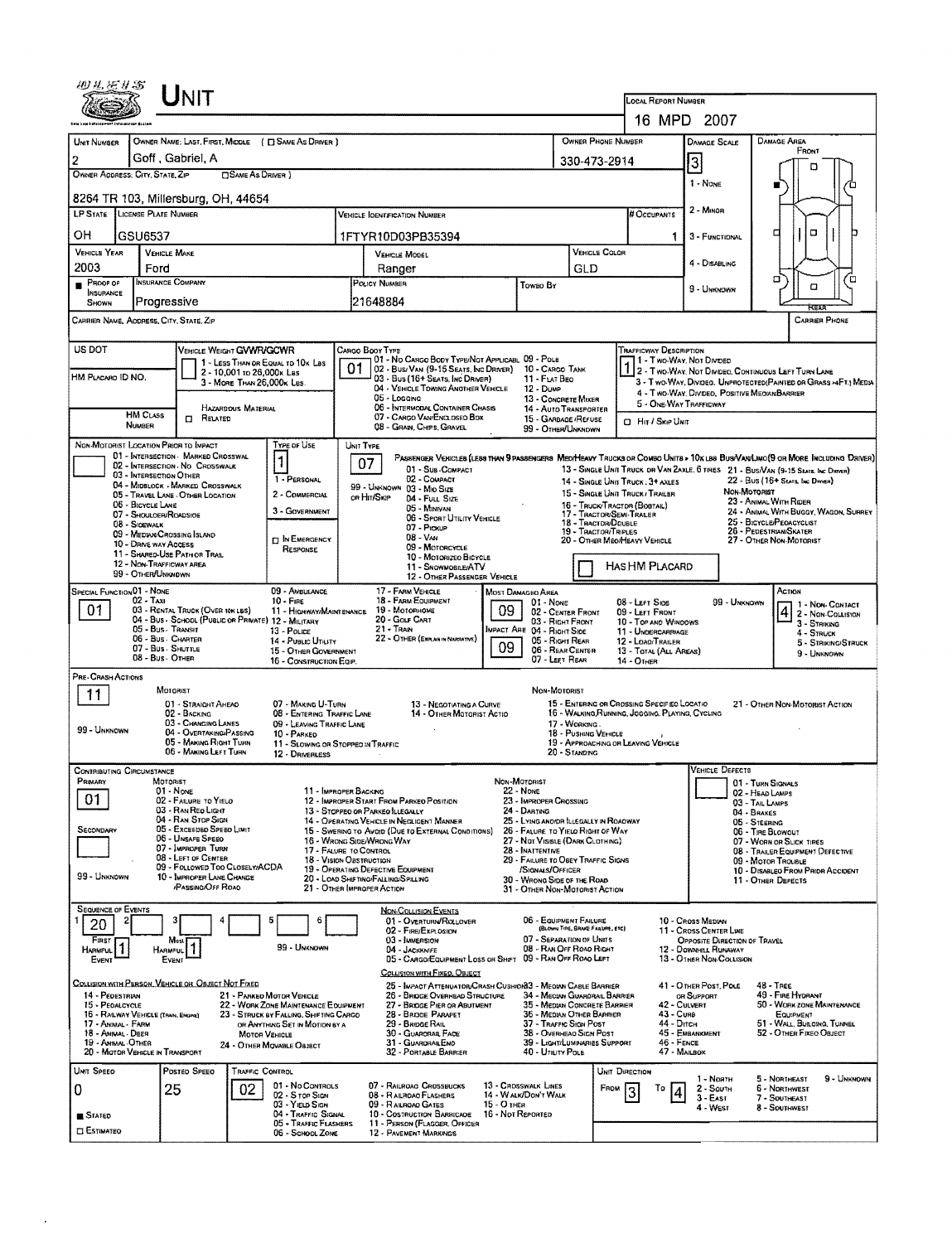| 16 MPD 2007<br>OWNER PHONE NUMBER<br>OWNER NAME: LAST, FIRST, MIDDLE ( C SAME AS DRIVER )<br><b>DAMAGE AREA</b><br>UNIT NUMBER<br><b>DAMAGE SCALE</b><br>FRONT<br>Goff, Gabriel, A<br>2<br>3<br>330-473-2914<br>n<br>OWNER ADDRESS: CITY, STATE, ZIP<br><b>CISAME AS DRIVER</b> )<br>1 - NONE<br>8264 TR 103, Millersburg, OH, 44654<br>2 - Minon<br>LP STATE LICENSE PLATE NUMBER<br># Occupants<br><b>VEHICLE IDENTIFICATION NUMBER</b><br>о<br>α<br>OН<br>GSU6537<br>1FTYR10D03PB35394<br>3 - FUNCTIONAL<br>1<br><b>VEHICLE YEAR</b><br>VEHICLE COLOR<br><b>VEHICLE MAKE</b><br>VEHICLE MODEL<br>4 - DISABLING<br>2003<br>Ford<br>GLD<br>Ranger<br>σ<br>ם′<br><b>INSURANCE COMPANY</b><br>PROOF OF<br>POLICY NUMBER<br>Toweo By<br>a<br>9 - UNKNOWN<br><b>INSURANCE</b><br>21648884<br>Progressive<br>SHOWN<br>CARRIER NAME, AODRESS, CITY, STATE, ZIP<br><b>CARRIER PHONE</b><br>US DOT<br>VEHICLE WEIGHT GVWR/GCWR<br>TRAFFICWAY DESCRIPTION<br>CARGO BOOY TYPE<br>01 - No CARGO BODY TYPE/NOT APPLICABL 09 - POLE<br>1 - Two-Way, Not Divese<br>1 - LESS THAN OR EQUAL TO 10K LBS<br>01<br>02 - Bus/ Van (9-15 Seats, Inc Driver)<br>10 - CARGO TANK<br>2 - Two-WAY, NOT DIVIDEO, CONTUNUOUS LEFT TURN LANE<br>2 - 10,001 to 26,000x Les<br>HM PLACARO ID NO.<br>03 - Bus (16+ SEATS, INC DRIVER)<br>11 - FLAT BEO<br>3 - MORE THAN 26,000K LBS.<br>3 - Two-WAY, DIVIDEO, UNPROTECTED(PAINTED OR GRASS >4FT.) MEDIA<br>04 - VEHICLE TOWING ANOTHER VEHICLE<br>$12 - D$ <sub>UMP</sub><br>4 - Two-Way, Divideo, Positive Median Barrier<br>05 - Locaina<br>13 - CONCRETE MIXER<br>5 - ONE-WAY TRAFFICWAY<br>06 - INTERMODAL CONTAINER CHASIS<br>HAZARDOUS MATERIAL<br>14 - AUTO TRANSPORTER<br><b>HM CLASS</b><br>07 - CARGO VAN/ENCLOSEO BOX<br>$\Box$ Related<br>15 - GARBAGE / REFUSE<br><b>CL Hir / Skie Unit</b><br><b>NUMBER</b><br>08 - GRAN, CHIPS, GRAVEL<br>99 - OTHER/LINKNOWN<br>NON-MOTORIST LOCATION PRIOR TO IMPACT<br>Type or Use<br>UNIT TYPE<br>01 - INTERSECTION MARKED CROSSWAL<br>PASSENGER VEHICLES (LESS THAN 9 PASSENGERS MED/HEAVY TRUCKS OR COMBO UNITS > 10K LBB BUS/VAM/LIMO(9 OR MORE INCLUDING DRIVER)<br>1<br>07<br>02 - INTERSECTION - NO CROSSWALK<br>13 - SINGLE UNIT TRUCK OR VAN ZAXLE, 6 TIRES 21 - BUS/VAN (9-15 SEATS, INC DRIVER)<br>01 - Sub-COMPACT<br>03 - INTERSECTION OTHER<br>02 - COMPACT<br>1 - PERSONAL<br>22 - Bus (16+ Stats, bic Daven)<br>14 - SINGLE UNIT TRUCK: 3+ AXLES<br>04 - MIDBLOCK - MARKED CROSSWALK<br>99 - UNKNOWN 03 - MIO SIZE<br><b>NON-MOTORIST</b><br>15 - SINGLE UNIT TRUCK / TRAILER<br>2 - COMMERCIAL<br>05 - TRAVEL LANE - OTHER LOCATION<br>OR HIT/SKIP<br>04 - FULL SIZE<br>23 - ANIMAL WITH RIDER<br>06 - BICYCLE LANE<br>16 - TRUCK/TRACTOR (BOSTAIL)<br>05 - Maniyan<br>3 - GOVERNMENT<br>24 - ANIMAL WITH BUGGY, WAGON, SURREY<br>17 - TRACTOR/SEMI-TRALER<br>07 - SHOULDER/ROADSIDE<br>06 - SPORT UTILITY VEHICLE<br>25 - BICYCLE/PEOACYCLIST<br>18 - Tractor/Double<br>08 - SIOEWALK<br>07 - Prokup<br>26 - PEDESTRIAN/SKATER<br>19 - TRACTOR/TRIPLES<br>09 - MEDIAN CROSSING ISLAND<br>$08 - V_{AM}$<br><b>IN EMERGENCY</b><br>20 - OTHER MEO/HEAVY VEHICLE<br>27 - OTHER NON-MOTORIST<br>10 - DRNE WAY ACCESS<br>09 - MOTORCYCLE<br>RESPONSE<br>11 - SHARED-USE PATH OR TRAIL<br>10 - MOTORIZEO BICYCLE<br>12 - Non Trafficway area<br><b>HASHM PLACARD</b><br>11 - SNOWMOBILE/ATV<br>99 - OTHER/UNKNOWN<br>12 - OTHER PASSENGER VEHICLE<br>SPECIAL FUNCTION 01 - NONE<br>09 - AMBULANCE<br>17 - FARM VEHICLE<br>ACTION<br>MOST DAMAGEO AREA<br>02 - TAXI<br>18 - FARM EQUIPMENT<br>$10 -$ Fire<br>08 - LEFT SIDE<br>99 - Unknown<br>01 None<br>1 - Non-Contact<br>01<br>09<br>03 - RENTAL TRUCK (OVER 10K LBS)<br>19 - MOTORHOME<br>11 - HIGHWAY/MAINTENANCE<br>$4 2 - \text{Non-Coulson}$<br>02 - CENTER FRONT<br>09 - LEFT FRONT<br>04 - BUS - SCHOOL (PUBLIC OR PRIVATE) 12 - MILITARY<br>20 - GOLF CART<br>03 - RIGHT FRONT<br>10 - TOP AND WINDOWS<br>3 - STRIKING<br>05 - Bus - Transit<br>$21 -$ Tran<br>MPACT ARE 04 - RIGHT SIDE<br>13 - Pouce<br>11 - UNDERCARRIAGE<br>4 - Struck<br>22 - OTHER (EXPLAN IN NARRATIVE)<br>06 - Bus Charter<br>05 - Right REAR<br>14 - PUBLIC UTILITY<br>12 - LOAO/TRAILER<br>5 - STRIKING/STRUCK<br>09<br>07 - Bus - SHUTTLE<br>06 - REAR CENTER<br>15 - OTHER GOVERNMENT<br>13 - TOTAL (ALL AREAS)<br>9 - UNKNOWN<br>08 - Bus OTHER<br>07 - LEET REAR<br>16 - CONSTRUCTION EQIP.<br>$14 - $ OTHER<br>PRE-CRASH ACTIONS<br>MOTORIST<br>NON-MOTORIST<br>11<br>01 - STRAIGHT AHEAD<br>07 - MARING U-TURN<br>15 - ENTERING OR CROSSING SPECIFIED LOCATIO<br>21 - OTHER NON-MOTORIST ACTION<br>13 - NEGOTIATING A CURVE<br>02 - BACKING<br>08 - ENTERING TRAFFIC LANE<br>14 - OTHER MOTORIST ACTIO<br>16 - WALKING, RUNNING, JOGGING, PLAYING, CYCLING<br>03 - CHANGING LANES<br>09 - LEAVING TRAFFIC LANE<br>17 - Working.<br>99 - UNKNOWN<br>04 - OVERTAKING/PASSING<br>18 - PUSHING VEHICLE<br>10 - PARKED<br>05 - MAKING RIGHT TURN<br>19 - APPROACHING OR LEAVING VEHICLE<br>11 - SLOWING OR STOPPED IN TRAFFIC<br>06 - MAKING LEFT TURN<br>20 - Standing<br>12 - DRIVERLESS<br>VEHICLE DEFECTS<br><b>CONTRIBUTING CIRCUMSTANCE</b><br>MOTORIST<br>NON-MOTORIST<br>PRIMARY<br>01 - TURN SIGNALS<br>01 - None<br>11 - IMPROPER BACKING<br>$22 - None$<br>02 - HEAD LAMPS<br>01<br>02 - FAILURE TO YIELD<br>12 - IMPROPER START FROM PARKED POSITION<br>23 - IMPROPER CROSSING<br>03 - TAIL LAMPS<br>03 - RAN REO LIGHT<br>24 - DARTING<br>13 - STOPPEO OR PARKEO ILLEGALLY<br>04 - BRAKES<br>04 - RAN STOP SIGN<br>14 - OPERATING VEHICLE IN NEGLIGENT MANNER<br>25 - LYING ANO/DR LLEGALLY IN ROADWAY<br>05 - STEERING<br>05 - Exceepeo Speeo Limit<br>SECONDARY<br>15 - SWERING TO AVOID (DUE TO EXTERNAL CONDITIONS)<br>26 - FALURE TO YIELO RIGHT OF WAY<br>06 - TIRE BLOWOUT<br>06 - UNSAFE SPEED<br>16 - WRONG SIDE/WRONG WAY<br>27 - NOT VISIBLE (DARK CLOTHING)<br>07 - WORN OR SLICK TIRES<br>07 - IMPROPER TURN<br>28 - INATTENTIVE<br>17 - FALURE TO CONTROL<br>08 - TRAILER EQUIPMENT DEFECTIVE<br>08 - LEFT OF CENTER<br>18 - VISION OBSTRUCTION<br>29 - FAILURE TO OBEY TRAFFIC SIGNS<br>09 - MOTOR TROUBLE<br>09 - FOLLOWED TOO CLOSELY/ACDA<br>19 - OPERATING DEFECTIVE EQUIPMENT<br>/SIGNALS/OFFICER<br>10 - DISABLEO FROM PRIOR ACCIDENT<br>99 - UNKNOWN<br>10 - IMPROPER LANE CHANGE<br>20 - LOAD SHIFTING/FALLING/SPILLING<br>30 - WRONG SIDE OF THE ROAD<br>11 - OTHER DEFECTS<br><b>PASSING/OFF ROAD</b><br>21 - OTHER IMPROPER ACTION<br>31 - OTHER NON-MOTORIST ACTION<br><b>SEQUENCE OF EVENTS</b><br><b>NON-COLLISION EVENTS</b><br>06 - EQUIPMENT FAILURE<br>5<br>01 - OVERTURN/ROLLOVER<br>10 - Cross Median<br>6<br>20<br>(BLOWN TIRE, BRAKE FAILURE, ETC)<br>11 - Cross CENTER LINE<br>02 - FIRE/EXPLOSION<br>07 - SEPARATION OF UNITS<br>03 - IMMERSION<br>OPPOSITE DIRECTION OF TRAVEL<br>First<br>Most<br>99 - UNKNOWN<br>08 - RAN OFF ROAD RIGHT<br>04 - JACKKNIFE<br>12 - DOWNHILL RUNAWAY<br><b>HARMFUL</b><br><b>HARMFUL</b><br>05 - CARGO/EQUIPMENT LOSS OR SHIFT 09 - RAN OFF ROAD LEFT<br>13 - OTHER NON-COLLISION<br>Event<br>EVENT<br>COLLISION WITH FIXED, OBJECT<br>COLLISION WITH PERSON, VEHICLE OR OBJECT NOT FIXED<br>25 - IMPACT ATTENUATOR/CRASH CUSHIOI83 - MEOIAN CABLE BARRIER<br>41 - OTHER POST, POLE<br>48 - Тяєє<br>14 - PEDESTRIAN<br>21 - PARKEO MOTOR VEHICLE<br>26 - BRIDGE OVERHEAD STRUCTURE<br>34 - Meckn Guardrail Barrier<br>49 - FIRE HYDRANT<br>OR SUPPORT<br>27 - BRIDGE PIER OR ABUTMENT<br>35 - Median Concrete Barrier<br>42 - CULVERT<br>50 - WORK ZONE MAINTENANCE<br>15 - PEOALCYCLE<br>22 - WORK ZONE MAINTENANCE EQUIPMENT<br>28 - BRIDDE PARAPET<br>36 - MEDAN OTHER BARRIER<br>43 - Cuna<br>16 - RAILWAY VEHICLE (TRAIN, ENGINE)<br>23 - STRUCK BY FALLING, SHIFTING CARGO<br>EQUIPMENT<br>37 - Traffic Sign Post<br>44 - Опсн<br>51 - WALL, BUROING, TUNNEL<br>17 - ANIMAL - FARM<br>OR ANYTHING SET IN MOTION BY A<br>29 - BRIDGE RAIL<br>45 - EMBANKMENT<br>52 - OTHER FIXEO OBJECT<br>18 - Animal - Deer<br>30 - GUARORAIL FACE<br>38 - OVERHEAD SIGN POST<br><b>MOTOR VEHICLE</b><br>19 - ANMAL-OTHER<br>39 - LIGHT/LUMINARIES SUPPORT<br>46 - FENCE<br>31 - GUARORAILENO<br>24 - OTHER MOVABLE OBJECT<br>20 - MOTOR VEHICLE IN TRANSPORT<br>32 - PORTABLE BARRIER<br>40 - UTILITY POLE<br>47 - MAILBOX<br>Unit Speed<br>Posteo Speeo<br><b>TRAFFIC CONTROL</b><br><b>UNIT DIRECTION</b><br>9 - Unknown<br>1 - North<br>5 - NORTHEAST<br>01 - No CONTROLS<br>07 - RAILROAO CROSSBUCKS<br>13 - CROSSWALK LINES<br>25<br>02<br>FROM<br>6 - NORTHWEST<br>0<br>Τо<br>2 - South<br>14 - WALK/DON'T WALK<br>02 - S rop Sign<br>08 - RAILROAD FLASHERS<br>3 - East<br>7 - SOUTHEAST<br>03 - YIELD SIGN<br>15 - О тнея<br>09 - RAILROAD GATES<br>4 - West<br>8 - Southwest<br>04 - TRAFFIC SIGNAL<br>10 - COSTRUCTION BARRICADE<br>16 - Not Reported<br><b>B</b> STATED<br>05 - TRAFFIC FLASHERS<br>11 - PERSON (FLAGGER, OFFICER<br><b>CI ESTIMATEO</b><br>06 - SCHOOL ZONE<br>12 - PAVEMENT MARKINGS |  |         |  |  |  |  |  |  |  |  |  |  |  |                            |  |  |  |  |  |  |  |
|-----------------------------------------------------------------------------------------------------------------------------------------------------------------------------------------------------------------------------------------------------------------------------------------------------------------------------------------------------------------------------------------------------------------------------------------------------------------------------------------------------------------------------------------------------------------------------------------------------------------------------------------------------------------------------------------------------------------------------------------------------------------------------------------------------------------------------------------------------------------------------------------------------------------------------------------------------------------------------------------------------------------------------------------------------------------------------------------------------------------------------------------------------------------------------------------------------------------------------------------------------------------------------------------------------------------------------------------------------------------------------------------------------------------------------------------------------------------------------------------------------------------------------------------------------------------------------------------------------------------------------------------------------------------------------------------------------------------------------------------------------------------------------------------------------------------------------------------------------------------------------------------------------------------------------------------------------------------------------------------------------------------------------------------------------------------------------------------------------------------------------------------------------------------------------------------------------------------------------------------------------------------------------------------------------------------------------------------------------------------------------------------------------------------------------------------------------------------------------------------------------------------------------------------------------------------------------------------------------------------------------------------------------------------------------------------------------------------------------------------------------------------------------------------------------------------------------------------------------------------------------------------------------------------------------------------------------------------------------------------------------------------------------------------------------------------------------------------------------------------------------------------------------------------------------------------------------------------------------------------------------------------------------------------------------------------------------------------------------------------------------------------------------------------------------------------------------------------------------------------------------------------------------------------------------------------------------------------------------------------------------------------------------------------------------------------------------------------------------------------------------------------------------------------------------------------------------------------------------------------------------------------------------------------------------------------------------------------------------------------------------------------------------------------------------------------------------------------------------------------------------------------------------------------------------------------------------------------------------------------------------------------------------------------------------------------------------------------------------------------------------------------------------------------------------------------------------------------------------------------------------------------------------------------------------------------------------------------------------------------------------------------------------------------------------------------------------------------------------------------------------------------------------------------------------------------------------------------------------------------------------------------------------------------------------------------------------------------------------------------------------------------------------------------------------------------------------------------------------------------------------------------------------------------------------------------------------------------------------------------------------------------------------------------------------------------------------------------------------------------------------------------------------------------------------------------------------------------------------------------------------------------------------------------------------------------------------------------------------------------------------------------------------------------------------------------------------------------------------------------------------------------------------------------------------------------------------------------------------------------------------------------------------------------------------------------------------------------------------------------------------------------------------------------------------------------------------------------------------------------------------------------------------------------------------------------------------------------------------------------------------------------------------------------------------------------------------------------------------------------------------------------------------------------------------------------------------------------------------------------------------------------------------------------------------------------------------------------------------------------------------------------------------------------------------------------------------------------------------------------------------------------------------------------------------------------------------------------------------------------------------------------------------------------------------------------------------------------------------------------------------------------------------------------------------------------------------------------------------------------------------------------------------------------------------------------------------------------------------------------------------------------------------------------------------------------------------------------------------------------------------------------------------------------------------------------------------------------------------------------------------------------------------------------------------------------------------------------------------------------------------------------------------------------------------------------------------------------------------------------------------------------------------------------------------------------------------------------------------------------------------------------------------------------------------------------------------------------------------------------------------------------------------------------------------------------------------------------------------------------------------------------------------------------------------------------------------------------------------------------------------------------------------------------------------------------------------------------------------------------------------------------------------------------------------------------------------------------------------------------------------------------------------------------------------------------------------------------------------------------------------------------------------------------------------------------------------------------------------------------------------------------------------------------------------------------------------------------------------------------------------------------------------------------------------------------------------------------------------------------------------------------------|--|---------|--|--|--|--|--|--|--|--|--|--|--|----------------------------|--|--|--|--|--|--|--|
|                                                                                                                                                                                                                                                                                                                                                                                                                                                                                                                                                                                                                                                                                                                                                                                                                                                                                                                                                                                                                                                                                                                                                                                                                                                                                                                                                                                                                                                                                                                                                                                                                                                                                                                                                                                                                                                                                                                                                                                                                                                                                                                                                                                                                                                                                                                                                                                                                                                                                                                                                                                                                                                                                                                                                                                                                                                                                                                                                                                                                                                                                                                                                                                                                                                                                                                                                                                                                                                                                                                                                                                                                                                                                                                                                                                                                                                                                                                                                                                                                                                                                                                                                                                                                                                                                                                                                                                                                                                                                                                                                                                                                                                                                                                                                                                                                                                                                                                                                                                                                                                                                                                                                                                                                                                                                                                                                                                                                                                                                                                                                                                                                                                                                                                                                                                                                                                                                                                                                                                                                                                                                                                                                                                                                                                                                                                                                                                                                                                                                                                                                                                                                                                                                                                                                                                                                                                                                                                                                                                                                                                                                                                                                                                                                                                                                                                                                                                                                                                                                                                                                                                                                                                                                                                                                                                                                                                                                                                                                                                                                                                                                                                                                                                                                                                                                                                                                                                                                                                                                                                                                                                                                                                                                                                                                                                                                                                                                                                                                                                                                       |  | $U$ NIT |  |  |  |  |  |  |  |  |  |  |  | <b>LOCAL REPORT NUMBER</b> |  |  |  |  |  |  |  |
|                                                                                                                                                                                                                                                                                                                                                                                                                                                                                                                                                                                                                                                                                                                                                                                                                                                                                                                                                                                                                                                                                                                                                                                                                                                                                                                                                                                                                                                                                                                                                                                                                                                                                                                                                                                                                                                                                                                                                                                                                                                                                                                                                                                                                                                                                                                                                                                                                                                                                                                                                                                                                                                                                                                                                                                                                                                                                                                                                                                                                                                                                                                                                                                                                                                                                                                                                                                                                                                                                                                                                                                                                                                                                                                                                                                                                                                                                                                                                                                                                                                                                                                                                                                                                                                                                                                                                                                                                                                                                                                                                                                                                                                                                                                                                                                                                                                                                                                                                                                                                                                                                                                                                                                                                                                                                                                                                                                                                                                                                                                                                                                                                                                                                                                                                                                                                                                                                                                                                                                                                                                                                                                                                                                                                                                                                                                                                                                                                                                                                                                                                                                                                                                                                                                                                                                                                                                                                                                                                                                                                                                                                                                                                                                                                                                                                                                                                                                                                                                                                                                                                                                                                                                                                                                                                                                                                                                                                                                                                                                                                                                                                                                                                                                                                                                                                                                                                                                                                                                                                                                                                                                                                                                                                                                                                                                                                                                                                                                                                                                                                       |  |         |  |  |  |  |  |  |  |  |  |  |  |                            |  |  |  |  |  |  |  |
|                                                                                                                                                                                                                                                                                                                                                                                                                                                                                                                                                                                                                                                                                                                                                                                                                                                                                                                                                                                                                                                                                                                                                                                                                                                                                                                                                                                                                                                                                                                                                                                                                                                                                                                                                                                                                                                                                                                                                                                                                                                                                                                                                                                                                                                                                                                                                                                                                                                                                                                                                                                                                                                                                                                                                                                                                                                                                                                                                                                                                                                                                                                                                                                                                                                                                                                                                                                                                                                                                                                                                                                                                                                                                                                                                                                                                                                                                                                                                                                                                                                                                                                                                                                                                                                                                                                                                                                                                                                                                                                                                                                                                                                                                                                                                                                                                                                                                                                                                                                                                                                                                                                                                                                                                                                                                                                                                                                                                                                                                                                                                                                                                                                                                                                                                                                                                                                                                                                                                                                                                                                                                                                                                                                                                                                                                                                                                                                                                                                                                                                                                                                                                                                                                                                                                                                                                                                                                                                                                                                                                                                                                                                                                                                                                                                                                                                                                                                                                                                                                                                                                                                                                                                                                                                                                                                                                                                                                                                                                                                                                                                                                                                                                                                                                                                                                                                                                                                                                                                                                                                                                                                                                                                                                                                                                                                                                                                                                                                                                                                                                       |  |         |  |  |  |  |  |  |  |  |  |  |  |                            |  |  |  |  |  |  |  |
|                                                                                                                                                                                                                                                                                                                                                                                                                                                                                                                                                                                                                                                                                                                                                                                                                                                                                                                                                                                                                                                                                                                                                                                                                                                                                                                                                                                                                                                                                                                                                                                                                                                                                                                                                                                                                                                                                                                                                                                                                                                                                                                                                                                                                                                                                                                                                                                                                                                                                                                                                                                                                                                                                                                                                                                                                                                                                                                                                                                                                                                                                                                                                                                                                                                                                                                                                                                                                                                                                                                                                                                                                                                                                                                                                                                                                                                                                                                                                                                                                                                                                                                                                                                                                                                                                                                                                                                                                                                                                                                                                                                                                                                                                                                                                                                                                                                                                                                                                                                                                                                                                                                                                                                                                                                                                                                                                                                                                                                                                                                                                                                                                                                                                                                                                                                                                                                                                                                                                                                                                                                                                                                                                                                                                                                                                                                                                                                                                                                                                                                                                                                                                                                                                                                                                                                                                                                                                                                                                                                                                                                                                                                                                                                                                                                                                                                                                                                                                                                                                                                                                                                                                                                                                                                                                                                                                                                                                                                                                                                                                                                                                                                                                                                                                                                                                                                                                                                                                                                                                                                                                                                                                                                                                                                                                                                                                                                                                                                                                                                                                       |  |         |  |  |  |  |  |  |  |  |  |  |  |                            |  |  |  |  |  |  |  |
|                                                                                                                                                                                                                                                                                                                                                                                                                                                                                                                                                                                                                                                                                                                                                                                                                                                                                                                                                                                                                                                                                                                                                                                                                                                                                                                                                                                                                                                                                                                                                                                                                                                                                                                                                                                                                                                                                                                                                                                                                                                                                                                                                                                                                                                                                                                                                                                                                                                                                                                                                                                                                                                                                                                                                                                                                                                                                                                                                                                                                                                                                                                                                                                                                                                                                                                                                                                                                                                                                                                                                                                                                                                                                                                                                                                                                                                                                                                                                                                                                                                                                                                                                                                                                                                                                                                                                                                                                                                                                                                                                                                                                                                                                                                                                                                                                                                                                                                                                                                                                                                                                                                                                                                                                                                                                                                                                                                                                                                                                                                                                                                                                                                                                                                                                                                                                                                                                                                                                                                                                                                                                                                                                                                                                                                                                                                                                                                                                                                                                                                                                                                                                                                                                                                                                                                                                                                                                                                                                                                                                                                                                                                                                                                                                                                                                                                                                                                                                                                                                                                                                                                                                                                                                                                                                                                                                                                                                                                                                                                                                                                                                                                                                                                                                                                                                                                                                                                                                                                                                                                                                                                                                                                                                                                                                                                                                                                                                                                                                                                                                       |  |         |  |  |  |  |  |  |  |  |  |  |  |                            |  |  |  |  |  |  |  |
|                                                                                                                                                                                                                                                                                                                                                                                                                                                                                                                                                                                                                                                                                                                                                                                                                                                                                                                                                                                                                                                                                                                                                                                                                                                                                                                                                                                                                                                                                                                                                                                                                                                                                                                                                                                                                                                                                                                                                                                                                                                                                                                                                                                                                                                                                                                                                                                                                                                                                                                                                                                                                                                                                                                                                                                                                                                                                                                                                                                                                                                                                                                                                                                                                                                                                                                                                                                                                                                                                                                                                                                                                                                                                                                                                                                                                                                                                                                                                                                                                                                                                                                                                                                                                                                                                                                                                                                                                                                                                                                                                                                                                                                                                                                                                                                                                                                                                                                                                                                                                                                                                                                                                                                                                                                                                                                                                                                                                                                                                                                                                                                                                                                                                                                                                                                                                                                                                                                                                                                                                                                                                                                                                                                                                                                                                                                                                                                                                                                                                                                                                                                                                                                                                                                                                                                                                                                                                                                                                                                                                                                                                                                                                                                                                                                                                                                                                                                                                                                                                                                                                                                                                                                                                                                                                                                                                                                                                                                                                                                                                                                                                                                                                                                                                                                                                                                                                                                                                                                                                                                                                                                                                                                                                                                                                                                                                                                                                                                                                                                                                       |  |         |  |  |  |  |  |  |  |  |  |  |  |                            |  |  |  |  |  |  |  |
|                                                                                                                                                                                                                                                                                                                                                                                                                                                                                                                                                                                                                                                                                                                                                                                                                                                                                                                                                                                                                                                                                                                                                                                                                                                                                                                                                                                                                                                                                                                                                                                                                                                                                                                                                                                                                                                                                                                                                                                                                                                                                                                                                                                                                                                                                                                                                                                                                                                                                                                                                                                                                                                                                                                                                                                                                                                                                                                                                                                                                                                                                                                                                                                                                                                                                                                                                                                                                                                                                                                                                                                                                                                                                                                                                                                                                                                                                                                                                                                                                                                                                                                                                                                                                                                                                                                                                                                                                                                                                                                                                                                                                                                                                                                                                                                                                                                                                                                                                                                                                                                                                                                                                                                                                                                                                                                                                                                                                                                                                                                                                                                                                                                                                                                                                                                                                                                                                                                                                                                                                                                                                                                                                                                                                                                                                                                                                                                                                                                                                                                                                                                                                                                                                                                                                                                                                                                                                                                                                                                                                                                                                                                                                                                                                                                                                                                                                                                                                                                                                                                                                                                                                                                                                                                                                                                                                                                                                                                                                                                                                                                                                                                                                                                                                                                                                                                                                                                                                                                                                                                                                                                                                                                                                                                                                                                                                                                                                                                                                                                                                       |  |         |  |  |  |  |  |  |  |  |  |  |  |                            |  |  |  |  |  |  |  |
|                                                                                                                                                                                                                                                                                                                                                                                                                                                                                                                                                                                                                                                                                                                                                                                                                                                                                                                                                                                                                                                                                                                                                                                                                                                                                                                                                                                                                                                                                                                                                                                                                                                                                                                                                                                                                                                                                                                                                                                                                                                                                                                                                                                                                                                                                                                                                                                                                                                                                                                                                                                                                                                                                                                                                                                                                                                                                                                                                                                                                                                                                                                                                                                                                                                                                                                                                                                                                                                                                                                                                                                                                                                                                                                                                                                                                                                                                                                                                                                                                                                                                                                                                                                                                                                                                                                                                                                                                                                                                                                                                                                                                                                                                                                                                                                                                                                                                                                                                                                                                                                                                                                                                                                                                                                                                                                                                                                                                                                                                                                                                                                                                                                                                                                                                                                                                                                                                                                                                                                                                                                                                                                                                                                                                                                                                                                                                                                                                                                                                                                                                                                                                                                                                                                                                                                                                                                                                                                                                                                                                                                                                                                                                                                                                                                                                                                                                                                                                                                                                                                                                                                                                                                                                                                                                                                                                                                                                                                                                                                                                                                                                                                                                                                                                                                                                                                                                                                                                                                                                                                                                                                                                                                                                                                                                                                                                                                                                                                                                                                                                       |  |         |  |  |  |  |  |  |  |  |  |  |  |                            |  |  |  |  |  |  |  |
|                                                                                                                                                                                                                                                                                                                                                                                                                                                                                                                                                                                                                                                                                                                                                                                                                                                                                                                                                                                                                                                                                                                                                                                                                                                                                                                                                                                                                                                                                                                                                                                                                                                                                                                                                                                                                                                                                                                                                                                                                                                                                                                                                                                                                                                                                                                                                                                                                                                                                                                                                                                                                                                                                                                                                                                                                                                                                                                                                                                                                                                                                                                                                                                                                                                                                                                                                                                                                                                                                                                                                                                                                                                                                                                                                                                                                                                                                                                                                                                                                                                                                                                                                                                                                                                                                                                                                                                                                                                                                                                                                                                                                                                                                                                                                                                                                                                                                                                                                                                                                                                                                                                                                                                                                                                                                                                                                                                                                                                                                                                                                                                                                                                                                                                                                                                                                                                                                                                                                                                                                                                                                                                                                                                                                                                                                                                                                                                                                                                                                                                                                                                                                                                                                                                                                                                                                                                                                                                                                                                                                                                                                                                                                                                                                                                                                                                                                                                                                                                                                                                                                                                                                                                                                                                                                                                                                                                                                                                                                                                                                                                                                                                                                                                                                                                                                                                                                                                                                                                                                                                                                                                                                                                                                                                                                                                                                                                                                                                                                                                                                       |  |         |  |  |  |  |  |  |  |  |  |  |  |                            |  |  |  |  |  |  |  |
|                                                                                                                                                                                                                                                                                                                                                                                                                                                                                                                                                                                                                                                                                                                                                                                                                                                                                                                                                                                                                                                                                                                                                                                                                                                                                                                                                                                                                                                                                                                                                                                                                                                                                                                                                                                                                                                                                                                                                                                                                                                                                                                                                                                                                                                                                                                                                                                                                                                                                                                                                                                                                                                                                                                                                                                                                                                                                                                                                                                                                                                                                                                                                                                                                                                                                                                                                                                                                                                                                                                                                                                                                                                                                                                                                                                                                                                                                                                                                                                                                                                                                                                                                                                                                                                                                                                                                                                                                                                                                                                                                                                                                                                                                                                                                                                                                                                                                                                                                                                                                                                                                                                                                                                                                                                                                                                                                                                                                                                                                                                                                                                                                                                                                                                                                                                                                                                                                                                                                                                                                                                                                                                                                                                                                                                                                                                                                                                                                                                                                                                                                                                                                                                                                                                                                                                                                                                                                                                                                                                                                                                                                                                                                                                                                                                                                                                                                                                                                                                                                                                                                                                                                                                                                                                                                                                                                                                                                                                                                                                                                                                                                                                                                                                                                                                                                                                                                                                                                                                                                                                                                                                                                                                                                                                                                                                                                                                                                                                                                                                                                       |  |         |  |  |  |  |  |  |  |  |  |  |  |                            |  |  |  |  |  |  |  |
|                                                                                                                                                                                                                                                                                                                                                                                                                                                                                                                                                                                                                                                                                                                                                                                                                                                                                                                                                                                                                                                                                                                                                                                                                                                                                                                                                                                                                                                                                                                                                                                                                                                                                                                                                                                                                                                                                                                                                                                                                                                                                                                                                                                                                                                                                                                                                                                                                                                                                                                                                                                                                                                                                                                                                                                                                                                                                                                                                                                                                                                                                                                                                                                                                                                                                                                                                                                                                                                                                                                                                                                                                                                                                                                                                                                                                                                                                                                                                                                                                                                                                                                                                                                                                                                                                                                                                                                                                                                                                                                                                                                                                                                                                                                                                                                                                                                                                                                                                                                                                                                                                                                                                                                                                                                                                                                                                                                                                                                                                                                                                                                                                                                                                                                                                                                                                                                                                                                                                                                                                                                                                                                                                                                                                                                                                                                                                                                                                                                                                                                                                                                                                                                                                                                                                                                                                                                                                                                                                                                                                                                                                                                                                                                                                                                                                                                                                                                                                                                                                                                                                                                                                                                                                                                                                                                                                                                                                                                                                                                                                                                                                                                                                                                                                                                                                                                                                                                                                                                                                                                                                                                                                                                                                                                                                                                                                                                                                                                                                                                                                       |  |         |  |  |  |  |  |  |  |  |  |  |  |                            |  |  |  |  |  |  |  |
|                                                                                                                                                                                                                                                                                                                                                                                                                                                                                                                                                                                                                                                                                                                                                                                                                                                                                                                                                                                                                                                                                                                                                                                                                                                                                                                                                                                                                                                                                                                                                                                                                                                                                                                                                                                                                                                                                                                                                                                                                                                                                                                                                                                                                                                                                                                                                                                                                                                                                                                                                                                                                                                                                                                                                                                                                                                                                                                                                                                                                                                                                                                                                                                                                                                                                                                                                                                                                                                                                                                                                                                                                                                                                                                                                                                                                                                                                                                                                                                                                                                                                                                                                                                                                                                                                                                                                                                                                                                                                                                                                                                                                                                                                                                                                                                                                                                                                                                                                                                                                                                                                                                                                                                                                                                                                                                                                                                                                                                                                                                                                                                                                                                                                                                                                                                                                                                                                                                                                                                                                                                                                                                                                                                                                                                                                                                                                                                                                                                                                                                                                                                                                                                                                                                                                                                                                                                                                                                                                                                                                                                                                                                                                                                                                                                                                                                                                                                                                                                                                                                                                                                                                                                                                                                                                                                                                                                                                                                                                                                                                                                                                                                                                                                                                                                                                                                                                                                                                                                                                                                                                                                                                                                                                                                                                                                                                                                                                                                                                                                                                       |  |         |  |  |  |  |  |  |  |  |  |  |  |                            |  |  |  |  |  |  |  |
|                                                                                                                                                                                                                                                                                                                                                                                                                                                                                                                                                                                                                                                                                                                                                                                                                                                                                                                                                                                                                                                                                                                                                                                                                                                                                                                                                                                                                                                                                                                                                                                                                                                                                                                                                                                                                                                                                                                                                                                                                                                                                                                                                                                                                                                                                                                                                                                                                                                                                                                                                                                                                                                                                                                                                                                                                                                                                                                                                                                                                                                                                                                                                                                                                                                                                                                                                                                                                                                                                                                                                                                                                                                                                                                                                                                                                                                                                                                                                                                                                                                                                                                                                                                                                                                                                                                                                                                                                                                                                                                                                                                                                                                                                                                                                                                                                                                                                                                                                                                                                                                                                                                                                                                                                                                                                                                                                                                                                                                                                                                                                                                                                                                                                                                                                                                                                                                                                                                                                                                                                                                                                                                                                                                                                                                                                                                                                                                                                                                                                                                                                                                                                                                                                                                                                                                                                                                                                                                                                                                                                                                                                                                                                                                                                                                                                                                                                                                                                                                                                                                                                                                                                                                                                                                                                                                                                                                                                                                                                                                                                                                                                                                                                                                                                                                                                                                                                                                                                                                                                                                                                                                                                                                                                                                                                                                                                                                                                                                                                                                                                       |  |         |  |  |  |  |  |  |  |  |  |  |  |                            |  |  |  |  |  |  |  |
|                                                                                                                                                                                                                                                                                                                                                                                                                                                                                                                                                                                                                                                                                                                                                                                                                                                                                                                                                                                                                                                                                                                                                                                                                                                                                                                                                                                                                                                                                                                                                                                                                                                                                                                                                                                                                                                                                                                                                                                                                                                                                                                                                                                                                                                                                                                                                                                                                                                                                                                                                                                                                                                                                                                                                                                                                                                                                                                                                                                                                                                                                                                                                                                                                                                                                                                                                                                                                                                                                                                                                                                                                                                                                                                                                                                                                                                                                                                                                                                                                                                                                                                                                                                                                                                                                                                                                                                                                                                                                                                                                                                                                                                                                                                                                                                                                                                                                                                                                                                                                                                                                                                                                                                                                                                                                                                                                                                                                                                                                                                                                                                                                                                                                                                                                                                                                                                                                                                                                                                                                                                                                                                                                                                                                                                                                                                                                                                                                                                                                                                                                                                                                                                                                                                                                                                                                                                                                                                                                                                                                                                                                                                                                                                                                                                                                                                                                                                                                                                                                                                                                                                                                                                                                                                                                                                                                                                                                                                                                                                                                                                                                                                                                                                                                                                                                                                                                                                                                                                                                                                                                                                                                                                                                                                                                                                                                                                                                                                                                                                                                       |  |         |  |  |  |  |  |  |  |  |  |  |  |                            |  |  |  |  |  |  |  |
|                                                                                                                                                                                                                                                                                                                                                                                                                                                                                                                                                                                                                                                                                                                                                                                                                                                                                                                                                                                                                                                                                                                                                                                                                                                                                                                                                                                                                                                                                                                                                                                                                                                                                                                                                                                                                                                                                                                                                                                                                                                                                                                                                                                                                                                                                                                                                                                                                                                                                                                                                                                                                                                                                                                                                                                                                                                                                                                                                                                                                                                                                                                                                                                                                                                                                                                                                                                                                                                                                                                                                                                                                                                                                                                                                                                                                                                                                                                                                                                                                                                                                                                                                                                                                                                                                                                                                                                                                                                                                                                                                                                                                                                                                                                                                                                                                                                                                                                                                                                                                                                                                                                                                                                                                                                                                                                                                                                                                                                                                                                                                                                                                                                                                                                                                                                                                                                                                                                                                                                                                                                                                                                                                                                                                                                                                                                                                                                                                                                                                                                                                                                                                                                                                                                                                                                                                                                                                                                                                                                                                                                                                                                                                                                                                                                                                                                                                                                                                                                                                                                                                                                                                                                                                                                                                                                                                                                                                                                                                                                                                                                                                                                                                                                                                                                                                                                                                                                                                                                                                                                                                                                                                                                                                                                                                                                                                                                                                                                                                                                                                       |  |         |  |  |  |  |  |  |  |  |  |  |  |                            |  |  |  |  |  |  |  |
|                                                                                                                                                                                                                                                                                                                                                                                                                                                                                                                                                                                                                                                                                                                                                                                                                                                                                                                                                                                                                                                                                                                                                                                                                                                                                                                                                                                                                                                                                                                                                                                                                                                                                                                                                                                                                                                                                                                                                                                                                                                                                                                                                                                                                                                                                                                                                                                                                                                                                                                                                                                                                                                                                                                                                                                                                                                                                                                                                                                                                                                                                                                                                                                                                                                                                                                                                                                                                                                                                                                                                                                                                                                                                                                                                                                                                                                                                                                                                                                                                                                                                                                                                                                                                                                                                                                                                                                                                                                                                                                                                                                                                                                                                                                                                                                                                                                                                                                                                                                                                                                                                                                                                                                                                                                                                                                                                                                                                                                                                                                                                                                                                                                                                                                                                                                                                                                                                                                                                                                                                                                                                                                                                                                                                                                                                                                                                                                                                                                                                                                                                                                                                                                                                                                                                                                                                                                                                                                                                                                                                                                                                                                                                                                                                                                                                                                                                                                                                                                                                                                                                                                                                                                                                                                                                                                                                                                                                                                                                                                                                                                                                                                                                                                                                                                                                                                                                                                                                                                                                                                                                                                                                                                                                                                                                                                                                                                                                                                                                                                                                       |  |         |  |  |  |  |  |  |  |  |  |  |  |                            |  |  |  |  |  |  |  |
|                                                                                                                                                                                                                                                                                                                                                                                                                                                                                                                                                                                                                                                                                                                                                                                                                                                                                                                                                                                                                                                                                                                                                                                                                                                                                                                                                                                                                                                                                                                                                                                                                                                                                                                                                                                                                                                                                                                                                                                                                                                                                                                                                                                                                                                                                                                                                                                                                                                                                                                                                                                                                                                                                                                                                                                                                                                                                                                                                                                                                                                                                                                                                                                                                                                                                                                                                                                                                                                                                                                                                                                                                                                                                                                                                                                                                                                                                                                                                                                                                                                                                                                                                                                                                                                                                                                                                                                                                                                                                                                                                                                                                                                                                                                                                                                                                                                                                                                                                                                                                                                                                                                                                                                                                                                                                                                                                                                                                                                                                                                                                                                                                                                                                                                                                                                                                                                                                                                                                                                                                                                                                                                                                                                                                                                                                                                                                                                                                                                                                                                                                                                                                                                                                                                                                                                                                                                                                                                                                                                                                                                                                                                                                                                                                                                                                                                                                                                                                                                                                                                                                                                                                                                                                                                                                                                                                                                                                                                                                                                                                                                                                                                                                                                                                                                                                                                                                                                                                                                                                                                                                                                                                                                                                                                                                                                                                                                                                                                                                                                                                       |  |         |  |  |  |  |  |  |  |  |  |  |  |                            |  |  |  |  |  |  |  |
|                                                                                                                                                                                                                                                                                                                                                                                                                                                                                                                                                                                                                                                                                                                                                                                                                                                                                                                                                                                                                                                                                                                                                                                                                                                                                                                                                                                                                                                                                                                                                                                                                                                                                                                                                                                                                                                                                                                                                                                                                                                                                                                                                                                                                                                                                                                                                                                                                                                                                                                                                                                                                                                                                                                                                                                                                                                                                                                                                                                                                                                                                                                                                                                                                                                                                                                                                                                                                                                                                                                                                                                                                                                                                                                                                                                                                                                                                                                                                                                                                                                                                                                                                                                                                                                                                                                                                                                                                                                                                                                                                                                                                                                                                                                                                                                                                                                                                                                                                                                                                                                                                                                                                                                                                                                                                                                                                                                                                                                                                                                                                                                                                                                                                                                                                                                                                                                                                                                                                                                                                                                                                                                                                                                                                                                                                                                                                                                                                                                                                                                                                                                                                                                                                                                                                                                                                                                                                                                                                                                                                                                                                                                                                                                                                                                                                                                                                                                                                                                                                                                                                                                                                                                                                                                                                                                                                                                                                                                                                                                                                                                                                                                                                                                                                                                                                                                                                                                                                                                                                                                                                                                                                                                                                                                                                                                                                                                                                                                                                                                                                       |  |         |  |  |  |  |  |  |  |  |  |  |  |                            |  |  |  |  |  |  |  |
|                                                                                                                                                                                                                                                                                                                                                                                                                                                                                                                                                                                                                                                                                                                                                                                                                                                                                                                                                                                                                                                                                                                                                                                                                                                                                                                                                                                                                                                                                                                                                                                                                                                                                                                                                                                                                                                                                                                                                                                                                                                                                                                                                                                                                                                                                                                                                                                                                                                                                                                                                                                                                                                                                                                                                                                                                                                                                                                                                                                                                                                                                                                                                                                                                                                                                                                                                                                                                                                                                                                                                                                                                                                                                                                                                                                                                                                                                                                                                                                                                                                                                                                                                                                                                                                                                                                                                                                                                                                                                                                                                                                                                                                                                                                                                                                                                                                                                                                                                                                                                                                                                                                                                                                                                                                                                                                                                                                                                                                                                                                                                                                                                                                                                                                                                                                                                                                                                                                                                                                                                                                                                                                                                                                                                                                                                                                                                                                                                                                                                                                                                                                                                                                                                                                                                                                                                                                                                                                                                                                                                                                                                                                                                                                                                                                                                                                                                                                                                                                                                                                                                                                                                                                                                                                                                                                                                                                                                                                                                                                                                                                                                                                                                                                                                                                                                                                                                                                                                                                                                                                                                                                                                                                                                                                                                                                                                                                                                                                                                                                                                       |  |         |  |  |  |  |  |  |  |  |  |  |  |                            |  |  |  |  |  |  |  |
|                                                                                                                                                                                                                                                                                                                                                                                                                                                                                                                                                                                                                                                                                                                                                                                                                                                                                                                                                                                                                                                                                                                                                                                                                                                                                                                                                                                                                                                                                                                                                                                                                                                                                                                                                                                                                                                                                                                                                                                                                                                                                                                                                                                                                                                                                                                                                                                                                                                                                                                                                                                                                                                                                                                                                                                                                                                                                                                                                                                                                                                                                                                                                                                                                                                                                                                                                                                                                                                                                                                                                                                                                                                                                                                                                                                                                                                                                                                                                                                                                                                                                                                                                                                                                                                                                                                                                                                                                                                                                                                                                                                                                                                                                                                                                                                                                                                                                                                                                                                                                                                                                                                                                                                                                                                                                                                                                                                                                                                                                                                                                                                                                                                                                                                                                                                                                                                                                                                                                                                                                                                                                                                                                                                                                                                                                                                                                                                                                                                                                                                                                                                                                                                                                                                                                                                                                                                                                                                                                                                                                                                                                                                                                                                                                                                                                                                                                                                                                                                                                                                                                                                                                                                                                                                                                                                                                                                                                                                                                                                                                                                                                                                                                                                                                                                                                                                                                                                                                                                                                                                                                                                                                                                                                                                                                                                                                                                                                                                                                                                                                       |  |         |  |  |  |  |  |  |  |  |  |  |  |                            |  |  |  |  |  |  |  |
|                                                                                                                                                                                                                                                                                                                                                                                                                                                                                                                                                                                                                                                                                                                                                                                                                                                                                                                                                                                                                                                                                                                                                                                                                                                                                                                                                                                                                                                                                                                                                                                                                                                                                                                                                                                                                                                                                                                                                                                                                                                                                                                                                                                                                                                                                                                                                                                                                                                                                                                                                                                                                                                                                                                                                                                                                                                                                                                                                                                                                                                                                                                                                                                                                                                                                                                                                                                                                                                                                                                                                                                                                                                                                                                                                                                                                                                                                                                                                                                                                                                                                                                                                                                                                                                                                                                                                                                                                                                                                                                                                                                                                                                                                                                                                                                                                                                                                                                                                                                                                                                                                                                                                                                                                                                                                                                                                                                                                                                                                                                                                                                                                                                                                                                                                                                                                                                                                                                                                                                                                                                                                                                                                                                                                                                                                                                                                                                                                                                                                                                                                                                                                                                                                                                                                                                                                                                                                                                                                                                                                                                                                                                                                                                                                                                                                                                                                                                                                                                                                                                                                                                                                                                                                                                                                                                                                                                                                                                                                                                                                                                                                                                                                                                                                                                                                                                                                                                                                                                                                                                                                                                                                                                                                                                                                                                                                                                                                                                                                                                                                       |  |         |  |  |  |  |  |  |  |  |  |  |  |                            |  |  |  |  |  |  |  |
|                                                                                                                                                                                                                                                                                                                                                                                                                                                                                                                                                                                                                                                                                                                                                                                                                                                                                                                                                                                                                                                                                                                                                                                                                                                                                                                                                                                                                                                                                                                                                                                                                                                                                                                                                                                                                                                                                                                                                                                                                                                                                                                                                                                                                                                                                                                                                                                                                                                                                                                                                                                                                                                                                                                                                                                                                                                                                                                                                                                                                                                                                                                                                                                                                                                                                                                                                                                                                                                                                                                                                                                                                                                                                                                                                                                                                                                                                                                                                                                                                                                                                                                                                                                                                                                                                                                                                                                                                                                                                                                                                                                                                                                                                                                                                                                                                                                                                                                                                                                                                                                                                                                                                                                                                                                                                                                                                                                                                                                                                                                                                                                                                                                                                                                                                                                                                                                                                                                                                                                                                                                                                                                                                                                                                                                                                                                                                                                                                                                                                                                                                                                                                                                                                                                                                                                                                                                                                                                                                                                                                                                                                                                                                                                                                                                                                                                                                                                                                                                                                                                                                                                                                                                                                                                                                                                                                                                                                                                                                                                                                                                                                                                                                                                                                                                                                                                                                                                                                                                                                                                                                                                                                                                                                                                                                                                                                                                                                                                                                                                                                       |  |         |  |  |  |  |  |  |  |  |  |  |  |                            |  |  |  |  |  |  |  |
|                                                                                                                                                                                                                                                                                                                                                                                                                                                                                                                                                                                                                                                                                                                                                                                                                                                                                                                                                                                                                                                                                                                                                                                                                                                                                                                                                                                                                                                                                                                                                                                                                                                                                                                                                                                                                                                                                                                                                                                                                                                                                                                                                                                                                                                                                                                                                                                                                                                                                                                                                                                                                                                                                                                                                                                                                                                                                                                                                                                                                                                                                                                                                                                                                                                                                                                                                                                                                                                                                                                                                                                                                                                                                                                                                                                                                                                                                                                                                                                                                                                                                                                                                                                                                                                                                                                                                                                                                                                                                                                                                                                                                                                                                                                                                                                                                                                                                                                                                                                                                                                                                                                                                                                                                                                                                                                                                                                                                                                                                                                                                                                                                                                                                                                                                                                                                                                                                                                                                                                                                                                                                                                                                                                                                                                                                                                                                                                                                                                                                                                                                                                                                                                                                                                                                                                                                                                                                                                                                                                                                                                                                                                                                                                                                                                                                                                                                                                                                                                                                                                                                                                                                                                                                                                                                                                                                                                                                                                                                                                                                                                                                                                                                                                                                                                                                                                                                                                                                                                                                                                                                                                                                                                                                                                                                                                                                                                                                                                                                                                                                       |  |         |  |  |  |  |  |  |  |  |  |  |  |                            |  |  |  |  |  |  |  |
|                                                                                                                                                                                                                                                                                                                                                                                                                                                                                                                                                                                                                                                                                                                                                                                                                                                                                                                                                                                                                                                                                                                                                                                                                                                                                                                                                                                                                                                                                                                                                                                                                                                                                                                                                                                                                                                                                                                                                                                                                                                                                                                                                                                                                                                                                                                                                                                                                                                                                                                                                                                                                                                                                                                                                                                                                                                                                                                                                                                                                                                                                                                                                                                                                                                                                                                                                                                                                                                                                                                                                                                                                                                                                                                                                                                                                                                                                                                                                                                                                                                                                                                                                                                                                                                                                                                                                                                                                                                                                                                                                                                                                                                                                                                                                                                                                                                                                                                                                                                                                                                                                                                                                                                                                                                                                                                                                                                                                                                                                                                                                                                                                                                                                                                                                                                                                                                                                                                                                                                                                                                                                                                                                                                                                                                                                                                                                                                                                                                                                                                                                                                                                                                                                                                                                                                                                                                                                                                                                                                                                                                                                                                                                                                                                                                                                                                                                                                                                                                                                                                                                                                                                                                                                                                                                                                                                                                                                                                                                                                                                                                                                                                                                                                                                                                                                                                                                                                                                                                                                                                                                                                                                                                                                                                                                                                                                                                                                                                                                                                                                       |  |         |  |  |  |  |  |  |  |  |  |  |  |                            |  |  |  |  |  |  |  |
|                                                                                                                                                                                                                                                                                                                                                                                                                                                                                                                                                                                                                                                                                                                                                                                                                                                                                                                                                                                                                                                                                                                                                                                                                                                                                                                                                                                                                                                                                                                                                                                                                                                                                                                                                                                                                                                                                                                                                                                                                                                                                                                                                                                                                                                                                                                                                                                                                                                                                                                                                                                                                                                                                                                                                                                                                                                                                                                                                                                                                                                                                                                                                                                                                                                                                                                                                                                                                                                                                                                                                                                                                                                                                                                                                                                                                                                                                                                                                                                                                                                                                                                                                                                                                                                                                                                                                                                                                                                                                                                                                                                                                                                                                                                                                                                                                                                                                                                                                                                                                                                                                                                                                                                                                                                                                                                                                                                                                                                                                                                                                                                                                                                                                                                                                                                                                                                                                                                                                                                                                                                                                                                                                                                                                                                                                                                                                                                                                                                                                                                                                                                                                                                                                                                                                                                                                                                                                                                                                                                                                                                                                                                                                                                                                                                                                                                                                                                                                                                                                                                                                                                                                                                                                                                                                                                                                                                                                                                                                                                                                                                                                                                                                                                                                                                                                                                                                                                                                                                                                                                                                                                                                                                                                                                                                                                                                                                                                                                                                                                                                       |  |         |  |  |  |  |  |  |  |  |  |  |  |                            |  |  |  |  |  |  |  |
|                                                                                                                                                                                                                                                                                                                                                                                                                                                                                                                                                                                                                                                                                                                                                                                                                                                                                                                                                                                                                                                                                                                                                                                                                                                                                                                                                                                                                                                                                                                                                                                                                                                                                                                                                                                                                                                                                                                                                                                                                                                                                                                                                                                                                                                                                                                                                                                                                                                                                                                                                                                                                                                                                                                                                                                                                                                                                                                                                                                                                                                                                                                                                                                                                                                                                                                                                                                                                                                                                                                                                                                                                                                                                                                                                                                                                                                                                                                                                                                                                                                                                                                                                                                                                                                                                                                                                                                                                                                                                                                                                                                                                                                                                                                                                                                                                                                                                                                                                                                                                                                                                                                                                                                                                                                                                                                                                                                                                                                                                                                                                                                                                                                                                                                                                                                                                                                                                                                                                                                                                                                                                                                                                                                                                                                                                                                                                                                                                                                                                                                                                                                                                                                                                                                                                                                                                                                                                                                                                                                                                                                                                                                                                                                                                                                                                                                                                                                                                                                                                                                                                                                                                                                                                                                                                                                                                                                                                                                                                                                                                                                                                                                                                                                                                                                                                                                                                                                                                                                                                                                                                                                                                                                                                                                                                                                                                                                                                                                                                                                                                       |  |         |  |  |  |  |  |  |  |  |  |  |  |                            |  |  |  |  |  |  |  |
|                                                                                                                                                                                                                                                                                                                                                                                                                                                                                                                                                                                                                                                                                                                                                                                                                                                                                                                                                                                                                                                                                                                                                                                                                                                                                                                                                                                                                                                                                                                                                                                                                                                                                                                                                                                                                                                                                                                                                                                                                                                                                                                                                                                                                                                                                                                                                                                                                                                                                                                                                                                                                                                                                                                                                                                                                                                                                                                                                                                                                                                                                                                                                                                                                                                                                                                                                                                                                                                                                                                                                                                                                                                                                                                                                                                                                                                                                                                                                                                                                                                                                                                                                                                                                                                                                                                                                                                                                                                                                                                                                                                                                                                                                                                                                                                                                                                                                                                                                                                                                                                                                                                                                                                                                                                                                                                                                                                                                                                                                                                                                                                                                                                                                                                                                                                                                                                                                                                                                                                                                                                                                                                                                                                                                                                                                                                                                                                                                                                                                                                                                                                                                                                                                                                                                                                                                                                                                                                                                                                                                                                                                                                                                                                                                                                                                                                                                                                                                                                                                                                                                                                                                                                                                                                                                                                                                                                                                                                                                                                                                                                                                                                                                                                                                                                                                                                                                                                                                                                                                                                                                                                                                                                                                                                                                                                                                                                                                                                                                                                                                       |  |         |  |  |  |  |  |  |  |  |  |  |  |                            |  |  |  |  |  |  |  |
|                                                                                                                                                                                                                                                                                                                                                                                                                                                                                                                                                                                                                                                                                                                                                                                                                                                                                                                                                                                                                                                                                                                                                                                                                                                                                                                                                                                                                                                                                                                                                                                                                                                                                                                                                                                                                                                                                                                                                                                                                                                                                                                                                                                                                                                                                                                                                                                                                                                                                                                                                                                                                                                                                                                                                                                                                                                                                                                                                                                                                                                                                                                                                                                                                                                                                                                                                                                                                                                                                                                                                                                                                                                                                                                                                                                                                                                                                                                                                                                                                                                                                                                                                                                                                                                                                                                                                                                                                                                                                                                                                                                                                                                                                                                                                                                                                                                                                                                                                                                                                                                                                                                                                                                                                                                                                                                                                                                                                                                                                                                                                                                                                                                                                                                                                                                                                                                                                                                                                                                                                                                                                                                                                                                                                                                                                                                                                                                                                                                                                                                                                                                                                                                                                                                                                                                                                                                                                                                                                                                                                                                                                                                                                                                                                                                                                                                                                                                                                                                                                                                                                                                                                                                                                                                                                                                                                                                                                                                                                                                                                                                                                                                                                                                                                                                                                                                                                                                                                                                                                                                                                                                                                                                                                                                                                                                                                                                                                                                                                                                                                       |  |         |  |  |  |  |  |  |  |  |  |  |  |                            |  |  |  |  |  |  |  |
|                                                                                                                                                                                                                                                                                                                                                                                                                                                                                                                                                                                                                                                                                                                                                                                                                                                                                                                                                                                                                                                                                                                                                                                                                                                                                                                                                                                                                                                                                                                                                                                                                                                                                                                                                                                                                                                                                                                                                                                                                                                                                                                                                                                                                                                                                                                                                                                                                                                                                                                                                                                                                                                                                                                                                                                                                                                                                                                                                                                                                                                                                                                                                                                                                                                                                                                                                                                                                                                                                                                                                                                                                                                                                                                                                                                                                                                                                                                                                                                                                                                                                                                                                                                                                                                                                                                                                                                                                                                                                                                                                                                                                                                                                                                                                                                                                                                                                                                                                                                                                                                                                                                                                                                                                                                                                                                                                                                                                                                                                                                                                                                                                                                                                                                                                                                                                                                                                                                                                                                                                                                                                                                                                                                                                                                                                                                                                                                                                                                                                                                                                                                                                                                                                                                                                                                                                                                                                                                                                                                                                                                                                                                                                                                                                                                                                                                                                                                                                                                                                                                                                                                                                                                                                                                                                                                                                                                                                                                                                                                                                                                                                                                                                                                                                                                                                                                                                                                                                                                                                                                                                                                                                                                                                                                                                                                                                                                                                                                                                                                                                       |  |         |  |  |  |  |  |  |  |  |  |  |  |                            |  |  |  |  |  |  |  |
|                                                                                                                                                                                                                                                                                                                                                                                                                                                                                                                                                                                                                                                                                                                                                                                                                                                                                                                                                                                                                                                                                                                                                                                                                                                                                                                                                                                                                                                                                                                                                                                                                                                                                                                                                                                                                                                                                                                                                                                                                                                                                                                                                                                                                                                                                                                                                                                                                                                                                                                                                                                                                                                                                                                                                                                                                                                                                                                                                                                                                                                                                                                                                                                                                                                                                                                                                                                                                                                                                                                                                                                                                                                                                                                                                                                                                                                                                                                                                                                                                                                                                                                                                                                                                                                                                                                                                                                                                                                                                                                                                                                                                                                                                                                                                                                                                                                                                                                                                                                                                                                                                                                                                                                                                                                                                                                                                                                                                                                                                                                                                                                                                                                                                                                                                                                                                                                                                                                                                                                                                                                                                                                                                                                                                                                                                                                                                                                                                                                                                                                                                                                                                                                                                                                                                                                                                                                                                                                                                                                                                                                                                                                                                                                                                                                                                                                                                                                                                                                                                                                                                                                                                                                                                                                                                                                                                                                                                                                                                                                                                                                                                                                                                                                                                                                                                                                                                                                                                                                                                                                                                                                                                                                                                                                                                                                                                                                                                                                                                                                                                       |  |         |  |  |  |  |  |  |  |  |  |  |  |                            |  |  |  |  |  |  |  |
|                                                                                                                                                                                                                                                                                                                                                                                                                                                                                                                                                                                                                                                                                                                                                                                                                                                                                                                                                                                                                                                                                                                                                                                                                                                                                                                                                                                                                                                                                                                                                                                                                                                                                                                                                                                                                                                                                                                                                                                                                                                                                                                                                                                                                                                                                                                                                                                                                                                                                                                                                                                                                                                                                                                                                                                                                                                                                                                                                                                                                                                                                                                                                                                                                                                                                                                                                                                                                                                                                                                                                                                                                                                                                                                                                                                                                                                                                                                                                                                                                                                                                                                                                                                                                                                                                                                                                                                                                                                                                                                                                                                                                                                                                                                                                                                                                                                                                                                                                                                                                                                                                                                                                                                                                                                                                                                                                                                                                                                                                                                                                                                                                                                                                                                                                                                                                                                                                                                                                                                                                                                                                                                                                                                                                                                                                                                                                                                                                                                                                                                                                                                                                                                                                                                                                                                                                                                                                                                                                                                                                                                                                                                                                                                                                                                                                                                                                                                                                                                                                                                                                                                                                                                                                                                                                                                                                                                                                                                                                                                                                                                                                                                                                                                                                                                                                                                                                                                                                                                                                                                                                                                                                                                                                                                                                                                                                                                                                                                                                                                                                       |  |         |  |  |  |  |  |  |  |  |  |  |  |                            |  |  |  |  |  |  |  |
|                                                                                                                                                                                                                                                                                                                                                                                                                                                                                                                                                                                                                                                                                                                                                                                                                                                                                                                                                                                                                                                                                                                                                                                                                                                                                                                                                                                                                                                                                                                                                                                                                                                                                                                                                                                                                                                                                                                                                                                                                                                                                                                                                                                                                                                                                                                                                                                                                                                                                                                                                                                                                                                                                                                                                                                                                                                                                                                                                                                                                                                                                                                                                                                                                                                                                                                                                                                                                                                                                                                                                                                                                                                                                                                                                                                                                                                                                                                                                                                                                                                                                                                                                                                                                                                                                                                                                                                                                                                                                                                                                                                                                                                                                                                                                                                                                                                                                                                                                                                                                                                                                                                                                                                                                                                                                                                                                                                                                                                                                                                                                                                                                                                                                                                                                                                                                                                                                                                                                                                                                                                                                                                                                                                                                                                                                                                                                                                                                                                                                                                                                                                                                                                                                                                                                                                                                                                                                                                                                                                                                                                                                                                                                                                                                                                                                                                                                                                                                                                                                                                                                                                                                                                                                                                                                                                                                                                                                                                                                                                                                                                                                                                                                                                                                                                                                                                                                                                                                                                                                                                                                                                                                                                                                                                                                                                                                                                                                                                                                                                                                       |  |         |  |  |  |  |  |  |  |  |  |  |  |                            |  |  |  |  |  |  |  |
|                                                                                                                                                                                                                                                                                                                                                                                                                                                                                                                                                                                                                                                                                                                                                                                                                                                                                                                                                                                                                                                                                                                                                                                                                                                                                                                                                                                                                                                                                                                                                                                                                                                                                                                                                                                                                                                                                                                                                                                                                                                                                                                                                                                                                                                                                                                                                                                                                                                                                                                                                                                                                                                                                                                                                                                                                                                                                                                                                                                                                                                                                                                                                                                                                                                                                                                                                                                                                                                                                                                                                                                                                                                                                                                                                                                                                                                                                                                                                                                                                                                                                                                                                                                                                                                                                                                                                                                                                                                                                                                                                                                                                                                                                                                                                                                                                                                                                                                                                                                                                                                                                                                                                                                                                                                                                                                                                                                                                                                                                                                                                                                                                                                                                                                                                                                                                                                                                                                                                                                                                                                                                                                                                                                                                                                                                                                                                                                                                                                                                                                                                                                                                                                                                                                                                                                                                                                                                                                                                                                                                                                                                                                                                                                                                                                                                                                                                                                                                                                                                                                                                                                                                                                                                                                                                                                                                                                                                                                                                                                                                                                                                                                                                                                                                                                                                                                                                                                                                                                                                                                                                                                                                                                                                                                                                                                                                                                                                                                                                                                                                       |  |         |  |  |  |  |  |  |  |  |  |  |  |                            |  |  |  |  |  |  |  |
|                                                                                                                                                                                                                                                                                                                                                                                                                                                                                                                                                                                                                                                                                                                                                                                                                                                                                                                                                                                                                                                                                                                                                                                                                                                                                                                                                                                                                                                                                                                                                                                                                                                                                                                                                                                                                                                                                                                                                                                                                                                                                                                                                                                                                                                                                                                                                                                                                                                                                                                                                                                                                                                                                                                                                                                                                                                                                                                                                                                                                                                                                                                                                                                                                                                                                                                                                                                                                                                                                                                                                                                                                                                                                                                                                                                                                                                                                                                                                                                                                                                                                                                                                                                                                                                                                                                                                                                                                                                                                                                                                                                                                                                                                                                                                                                                                                                                                                                                                                                                                                                                                                                                                                                                                                                                                                                                                                                                                                                                                                                                                                                                                                                                                                                                                                                                                                                                                                                                                                                                                                                                                                                                                                                                                                                                                                                                                                                                                                                                                                                                                                                                                                                                                                                                                                                                                                                                                                                                                                                                                                                                                                                                                                                                                                                                                                                                                                                                                                                                                                                                                                                                                                                                                                                                                                                                                                                                                                                                                                                                                                                                                                                                                                                                                                                                                                                                                                                                                                                                                                                                                                                                                                                                                                                                                                                                                                                                                                                                                                                                                       |  |         |  |  |  |  |  |  |  |  |  |  |  |                            |  |  |  |  |  |  |  |
|                                                                                                                                                                                                                                                                                                                                                                                                                                                                                                                                                                                                                                                                                                                                                                                                                                                                                                                                                                                                                                                                                                                                                                                                                                                                                                                                                                                                                                                                                                                                                                                                                                                                                                                                                                                                                                                                                                                                                                                                                                                                                                                                                                                                                                                                                                                                                                                                                                                                                                                                                                                                                                                                                                                                                                                                                                                                                                                                                                                                                                                                                                                                                                                                                                                                                                                                                                                                                                                                                                                                                                                                                                                                                                                                                                                                                                                                                                                                                                                                                                                                                                                                                                                                                                                                                                                                                                                                                                                                                                                                                                                                                                                                                                                                                                                                                                                                                                                                                                                                                                                                                                                                                                                                                                                                                                                                                                                                                                                                                                                                                                                                                                                                                                                                                                                                                                                                                                                                                                                                                                                                                                                                                                                                                                                                                                                                                                                                                                                                                                                                                                                                                                                                                                                                                                                                                                                                                                                                                                                                                                                                                                                                                                                                                                                                                                                                                                                                                                                                                                                                                                                                                                                                                                                                                                                                                                                                                                                                                                                                                                                                                                                                                                                                                                                                                                                                                                                                                                                                                                                                                                                                                                                                                                                                                                                                                                                                                                                                                                                                                       |  |         |  |  |  |  |  |  |  |  |  |  |  |                            |  |  |  |  |  |  |  |
|                                                                                                                                                                                                                                                                                                                                                                                                                                                                                                                                                                                                                                                                                                                                                                                                                                                                                                                                                                                                                                                                                                                                                                                                                                                                                                                                                                                                                                                                                                                                                                                                                                                                                                                                                                                                                                                                                                                                                                                                                                                                                                                                                                                                                                                                                                                                                                                                                                                                                                                                                                                                                                                                                                                                                                                                                                                                                                                                                                                                                                                                                                                                                                                                                                                                                                                                                                                                                                                                                                                                                                                                                                                                                                                                                                                                                                                                                                                                                                                                                                                                                                                                                                                                                                                                                                                                                                                                                                                                                                                                                                                                                                                                                                                                                                                                                                                                                                                                                                                                                                                                                                                                                                                                                                                                                                                                                                                                                                                                                                                                                                                                                                                                                                                                                                                                                                                                                                                                                                                                                                                                                                                                                                                                                                                                                                                                                                                                                                                                                                                                                                                                                                                                                                                                                                                                                                                                                                                                                                                                                                                                                                                                                                                                                                                                                                                                                                                                                                                                                                                                                                                                                                                                                                                                                                                                                                                                                                                                                                                                                                                                                                                                                                                                                                                                                                                                                                                                                                                                                                                                                                                                                                                                                                                                                                                                                                                                                                                                                                                                                       |  |         |  |  |  |  |  |  |  |  |  |  |  |                            |  |  |  |  |  |  |  |
|                                                                                                                                                                                                                                                                                                                                                                                                                                                                                                                                                                                                                                                                                                                                                                                                                                                                                                                                                                                                                                                                                                                                                                                                                                                                                                                                                                                                                                                                                                                                                                                                                                                                                                                                                                                                                                                                                                                                                                                                                                                                                                                                                                                                                                                                                                                                                                                                                                                                                                                                                                                                                                                                                                                                                                                                                                                                                                                                                                                                                                                                                                                                                                                                                                                                                                                                                                                                                                                                                                                                                                                                                                                                                                                                                                                                                                                                                                                                                                                                                                                                                                                                                                                                                                                                                                                                                                                                                                                                                                                                                                                                                                                                                                                                                                                                                                                                                                                                                                                                                                                                                                                                                                                                                                                                                                                                                                                                                                                                                                                                                                                                                                                                                                                                                                                                                                                                                                                                                                                                                                                                                                                                                                                                                                                                                                                                                                                                                                                                                                                                                                                                                                                                                                                                                                                                                                                                                                                                                                                                                                                                                                                                                                                                                                                                                                                                                                                                                                                                                                                                                                                                                                                                                                                                                                                                                                                                                                                                                                                                                                                                                                                                                                                                                                                                                                                                                                                                                                                                                                                                                                                                                                                                                                                                                                                                                                                                                                                                                                                                                       |  |         |  |  |  |  |  |  |  |  |  |  |  |                            |  |  |  |  |  |  |  |
|                                                                                                                                                                                                                                                                                                                                                                                                                                                                                                                                                                                                                                                                                                                                                                                                                                                                                                                                                                                                                                                                                                                                                                                                                                                                                                                                                                                                                                                                                                                                                                                                                                                                                                                                                                                                                                                                                                                                                                                                                                                                                                                                                                                                                                                                                                                                                                                                                                                                                                                                                                                                                                                                                                                                                                                                                                                                                                                                                                                                                                                                                                                                                                                                                                                                                                                                                                                                                                                                                                                                                                                                                                                                                                                                                                                                                                                                                                                                                                                                                                                                                                                                                                                                                                                                                                                                                                                                                                                                                                                                                                                                                                                                                                                                                                                                                                                                                                                                                                                                                                                                                                                                                                                                                                                                                                                                                                                                                                                                                                                                                                                                                                                                                                                                                                                                                                                                                                                                                                                                                                                                                                                                                                                                                                                                                                                                                                                                                                                                                                                                                                                                                                                                                                                                                                                                                                                                                                                                                                                                                                                                                                                                                                                                                                                                                                                                                                                                                                                                                                                                                                                                                                                                                                                                                                                                                                                                                                                                                                                                                                                                                                                                                                                                                                                                                                                                                                                                                                                                                                                                                                                                                                                                                                                                                                                                                                                                                                                                                                                                                       |  |         |  |  |  |  |  |  |  |  |  |  |  |                            |  |  |  |  |  |  |  |
|                                                                                                                                                                                                                                                                                                                                                                                                                                                                                                                                                                                                                                                                                                                                                                                                                                                                                                                                                                                                                                                                                                                                                                                                                                                                                                                                                                                                                                                                                                                                                                                                                                                                                                                                                                                                                                                                                                                                                                                                                                                                                                                                                                                                                                                                                                                                                                                                                                                                                                                                                                                                                                                                                                                                                                                                                                                                                                                                                                                                                                                                                                                                                                                                                                                                                                                                                                                                                                                                                                                                                                                                                                                                                                                                                                                                                                                                                                                                                                                                                                                                                                                                                                                                                                                                                                                                                                                                                                                                                                                                                                                                                                                                                                                                                                                                                                                                                                                                                                                                                                                                                                                                                                                                                                                                                                                                                                                                                                                                                                                                                                                                                                                                                                                                                                                                                                                                                                                                                                                                                                                                                                                                                                                                                                                                                                                                                                                                                                                                                                                                                                                                                                                                                                                                                                                                                                                                                                                                                                                                                                                                                                                                                                                                                                                                                                                                                                                                                                                                                                                                                                                                                                                                                                                                                                                                                                                                                                                                                                                                                                                                                                                                                                                                                                                                                                                                                                                                                                                                                                                                                                                                                                                                                                                                                                                                                                                                                                                                                                                                                       |  |         |  |  |  |  |  |  |  |  |  |  |  |                            |  |  |  |  |  |  |  |
|                                                                                                                                                                                                                                                                                                                                                                                                                                                                                                                                                                                                                                                                                                                                                                                                                                                                                                                                                                                                                                                                                                                                                                                                                                                                                                                                                                                                                                                                                                                                                                                                                                                                                                                                                                                                                                                                                                                                                                                                                                                                                                                                                                                                                                                                                                                                                                                                                                                                                                                                                                                                                                                                                                                                                                                                                                                                                                                                                                                                                                                                                                                                                                                                                                                                                                                                                                                                                                                                                                                                                                                                                                                                                                                                                                                                                                                                                                                                                                                                                                                                                                                                                                                                                                                                                                                                                                                                                                                                                                                                                                                                                                                                                                                                                                                                                                                                                                                                                                                                                                                                                                                                                                                                                                                                                                                                                                                                                                                                                                                                                                                                                                                                                                                                                                                                                                                                                                                                                                                                                                                                                                                                                                                                                                                                                                                                                                                                                                                                                                                                                                                                                                                                                                                                                                                                                                                                                                                                                                                                                                                                                                                                                                                                                                                                                                                                                                                                                                                                                                                                                                                                                                                                                                                                                                                                                                                                                                                                                                                                                                                                                                                                                                                                                                                                                                                                                                                                                                                                                                                                                                                                                                                                                                                                                                                                                                                                                                                                                                                                                       |  |         |  |  |  |  |  |  |  |  |  |  |  |                            |  |  |  |  |  |  |  |
|                                                                                                                                                                                                                                                                                                                                                                                                                                                                                                                                                                                                                                                                                                                                                                                                                                                                                                                                                                                                                                                                                                                                                                                                                                                                                                                                                                                                                                                                                                                                                                                                                                                                                                                                                                                                                                                                                                                                                                                                                                                                                                                                                                                                                                                                                                                                                                                                                                                                                                                                                                                                                                                                                                                                                                                                                                                                                                                                                                                                                                                                                                                                                                                                                                                                                                                                                                                                                                                                                                                                                                                                                                                                                                                                                                                                                                                                                                                                                                                                                                                                                                                                                                                                                                                                                                                                                                                                                                                                                                                                                                                                                                                                                                                                                                                                                                                                                                                                                                                                                                                                                                                                                                                                                                                                                                                                                                                                                                                                                                                                                                                                                                                                                                                                                                                                                                                                                                                                                                                                                                                                                                                                                                                                                                                                                                                                                                                                                                                                                                                                                                                                                                                                                                                                                                                                                                                                                                                                                                                                                                                                                                                                                                                                                                                                                                                                                                                                                                                                                                                                                                                                                                                                                                                                                                                                                                                                                                                                                                                                                                                                                                                                                                                                                                                                                                                                                                                                                                                                                                                                                                                                                                                                                                                                                                                                                                                                                                                                                                                                                       |  |         |  |  |  |  |  |  |  |  |  |  |  |                            |  |  |  |  |  |  |  |
|                                                                                                                                                                                                                                                                                                                                                                                                                                                                                                                                                                                                                                                                                                                                                                                                                                                                                                                                                                                                                                                                                                                                                                                                                                                                                                                                                                                                                                                                                                                                                                                                                                                                                                                                                                                                                                                                                                                                                                                                                                                                                                                                                                                                                                                                                                                                                                                                                                                                                                                                                                                                                                                                                                                                                                                                                                                                                                                                                                                                                                                                                                                                                                                                                                                                                                                                                                                                                                                                                                                                                                                                                                                                                                                                                                                                                                                                                                                                                                                                                                                                                                                                                                                                                                                                                                                                                                                                                                                                                                                                                                                                                                                                                                                                                                                                                                                                                                                                                                                                                                                                                                                                                                                                                                                                                                                                                                                                                                                                                                                                                                                                                                                                                                                                                                                                                                                                                                                                                                                                                                                                                                                                                                                                                                                                                                                                                                                                                                                                                                                                                                                                                                                                                                                                                                                                                                                                                                                                                                                                                                                                                                                                                                                                                                                                                                                                                                                                                                                                                                                                                                                                                                                                                                                                                                                                                                                                                                                                                                                                                                                                                                                                                                                                                                                                                                                                                                                                                                                                                                                                                                                                                                                                                                                                                                                                                                                                                                                                                                                                                       |  |         |  |  |  |  |  |  |  |  |  |  |  |                            |  |  |  |  |  |  |  |
|                                                                                                                                                                                                                                                                                                                                                                                                                                                                                                                                                                                                                                                                                                                                                                                                                                                                                                                                                                                                                                                                                                                                                                                                                                                                                                                                                                                                                                                                                                                                                                                                                                                                                                                                                                                                                                                                                                                                                                                                                                                                                                                                                                                                                                                                                                                                                                                                                                                                                                                                                                                                                                                                                                                                                                                                                                                                                                                                                                                                                                                                                                                                                                                                                                                                                                                                                                                                                                                                                                                                                                                                                                                                                                                                                                                                                                                                                                                                                                                                                                                                                                                                                                                                                                                                                                                                                                                                                                                                                                                                                                                                                                                                                                                                                                                                                                                                                                                                                                                                                                                                                                                                                                                                                                                                                                                                                                                                                                                                                                                                                                                                                                                                                                                                                                                                                                                                                                                                                                                                                                                                                                                                                                                                                                                                                                                                                                                                                                                                                                                                                                                                                                                                                                                                                                                                                                                                                                                                                                                                                                                                                                                                                                                                                                                                                                                                                                                                                                                                                                                                                                                                                                                                                                                                                                                                                                                                                                                                                                                                                                                                                                                                                                                                                                                                                                                                                                                                                                                                                                                                                                                                                                                                                                                                                                                                                                                                                                                                                                                                                       |  |         |  |  |  |  |  |  |  |  |  |  |  |                            |  |  |  |  |  |  |  |
|                                                                                                                                                                                                                                                                                                                                                                                                                                                                                                                                                                                                                                                                                                                                                                                                                                                                                                                                                                                                                                                                                                                                                                                                                                                                                                                                                                                                                                                                                                                                                                                                                                                                                                                                                                                                                                                                                                                                                                                                                                                                                                                                                                                                                                                                                                                                                                                                                                                                                                                                                                                                                                                                                                                                                                                                                                                                                                                                                                                                                                                                                                                                                                                                                                                                                                                                                                                                                                                                                                                                                                                                                                                                                                                                                                                                                                                                                                                                                                                                                                                                                                                                                                                                                                                                                                                                                                                                                                                                                                                                                                                                                                                                                                                                                                                                                                                                                                                                                                                                                                                                                                                                                                                                                                                                                                                                                                                                                                                                                                                                                                                                                                                                                                                                                                                                                                                                                                                                                                                                                                                                                                                                                                                                                                                                                                                                                                                                                                                                                                                                                                                                                                                                                                                                                                                                                                                                                                                                                                                                                                                                                                                                                                                                                                                                                                                                                                                                                                                                                                                                                                                                                                                                                                                                                                                                                                                                                                                                                                                                                                                                                                                                                                                                                                                                                                                                                                                                                                                                                                                                                                                                                                                                                                                                                                                                                                                                                                                                                                                                                       |  |         |  |  |  |  |  |  |  |  |  |  |  |                            |  |  |  |  |  |  |  |
|                                                                                                                                                                                                                                                                                                                                                                                                                                                                                                                                                                                                                                                                                                                                                                                                                                                                                                                                                                                                                                                                                                                                                                                                                                                                                                                                                                                                                                                                                                                                                                                                                                                                                                                                                                                                                                                                                                                                                                                                                                                                                                                                                                                                                                                                                                                                                                                                                                                                                                                                                                                                                                                                                                                                                                                                                                                                                                                                                                                                                                                                                                                                                                                                                                                                                                                                                                                                                                                                                                                                                                                                                                                                                                                                                                                                                                                                                                                                                                                                                                                                                                                                                                                                                                                                                                                                                                                                                                                                                                                                                                                                                                                                                                                                                                                                                                                                                                                                                                                                                                                                                                                                                                                                                                                                                                                                                                                                                                                                                                                                                                                                                                                                                                                                                                                                                                                                                                                                                                                                                                                                                                                                                                                                                                                                                                                                                                                                                                                                                                                                                                                                                                                                                                                                                                                                                                                                                                                                                                                                                                                                                                                                                                                                                                                                                                                                                                                                                                                                                                                                                                                                                                                                                                                                                                                                                                                                                                                                                                                                                                                                                                                                                                                                                                                                                                                                                                                                                                                                                                                                                                                                                                                                                                                                                                                                                                                                                                                                                                                                                       |  |         |  |  |  |  |  |  |  |  |  |  |  |                            |  |  |  |  |  |  |  |
|                                                                                                                                                                                                                                                                                                                                                                                                                                                                                                                                                                                                                                                                                                                                                                                                                                                                                                                                                                                                                                                                                                                                                                                                                                                                                                                                                                                                                                                                                                                                                                                                                                                                                                                                                                                                                                                                                                                                                                                                                                                                                                                                                                                                                                                                                                                                                                                                                                                                                                                                                                                                                                                                                                                                                                                                                                                                                                                                                                                                                                                                                                                                                                                                                                                                                                                                                                                                                                                                                                                                                                                                                                                                                                                                                                                                                                                                                                                                                                                                                                                                                                                                                                                                                                                                                                                                                                                                                                                                                                                                                                                                                                                                                                                                                                                                                                                                                                                                                                                                                                                                                                                                                                                                                                                                                                                                                                                                                                                                                                                                                                                                                                                                                                                                                                                                                                                                                                                                                                                                                                                                                                                                                                                                                                                                                                                                                                                                                                                                                                                                                                                                                                                                                                                                                                                                                                                                                                                                                                                                                                                                                                                                                                                                                                                                                                                                                                                                                                                                                                                                                                                                                                                                                                                                                                                                                                                                                                                                                                                                                                                                                                                                                                                                                                                                                                                                                                                                                                                                                                                                                                                                                                                                                                                                                                                                                                                                                                                                                                                                                       |  |         |  |  |  |  |  |  |  |  |  |  |  |                            |  |  |  |  |  |  |  |
|                                                                                                                                                                                                                                                                                                                                                                                                                                                                                                                                                                                                                                                                                                                                                                                                                                                                                                                                                                                                                                                                                                                                                                                                                                                                                                                                                                                                                                                                                                                                                                                                                                                                                                                                                                                                                                                                                                                                                                                                                                                                                                                                                                                                                                                                                                                                                                                                                                                                                                                                                                                                                                                                                                                                                                                                                                                                                                                                                                                                                                                                                                                                                                                                                                                                                                                                                                                                                                                                                                                                                                                                                                                                                                                                                                                                                                                                                                                                                                                                                                                                                                                                                                                                                                                                                                                                                                                                                                                                                                                                                                                                                                                                                                                                                                                                                                                                                                                                                                                                                                                                                                                                                                                                                                                                                                                                                                                                                                                                                                                                                                                                                                                                                                                                                                                                                                                                                                                                                                                                                                                                                                                                                                                                                                                                                                                                                                                                                                                                                                                                                                                                                                                                                                                                                                                                                                                                                                                                                                                                                                                                                                                                                                                                                                                                                                                                                                                                                                                                                                                                                                                                                                                                                                                                                                                                                                                                                                                                                                                                                                                                                                                                                                                                                                                                                                                                                                                                                                                                                                                                                                                                                                                                                                                                                                                                                                                                                                                                                                                                                       |  |         |  |  |  |  |  |  |  |  |  |  |  |                            |  |  |  |  |  |  |  |
|                                                                                                                                                                                                                                                                                                                                                                                                                                                                                                                                                                                                                                                                                                                                                                                                                                                                                                                                                                                                                                                                                                                                                                                                                                                                                                                                                                                                                                                                                                                                                                                                                                                                                                                                                                                                                                                                                                                                                                                                                                                                                                                                                                                                                                                                                                                                                                                                                                                                                                                                                                                                                                                                                                                                                                                                                                                                                                                                                                                                                                                                                                                                                                                                                                                                                                                                                                                                                                                                                                                                                                                                                                                                                                                                                                                                                                                                                                                                                                                                                                                                                                                                                                                                                                                                                                                                                                                                                                                                                                                                                                                                                                                                                                                                                                                                                                                                                                                                                                                                                                                                                                                                                                                                                                                                                                                                                                                                                                                                                                                                                                                                                                                                                                                                                                                                                                                                                                                                                                                                                                                                                                                                                                                                                                                                                                                                                                                                                                                                                                                                                                                                                                                                                                                                                                                                                                                                                                                                                                                                                                                                                                                                                                                                                                                                                                                                                                                                                                                                                                                                                                                                                                                                                                                                                                                                                                                                                                                                                                                                                                                                                                                                                                                                                                                                                                                                                                                                                                                                                                                                                                                                                                                                                                                                                                                                                                                                                                                                                                                                                       |  |         |  |  |  |  |  |  |  |  |  |  |  |                            |  |  |  |  |  |  |  |
|                                                                                                                                                                                                                                                                                                                                                                                                                                                                                                                                                                                                                                                                                                                                                                                                                                                                                                                                                                                                                                                                                                                                                                                                                                                                                                                                                                                                                                                                                                                                                                                                                                                                                                                                                                                                                                                                                                                                                                                                                                                                                                                                                                                                                                                                                                                                                                                                                                                                                                                                                                                                                                                                                                                                                                                                                                                                                                                                                                                                                                                                                                                                                                                                                                                                                                                                                                                                                                                                                                                                                                                                                                                                                                                                                                                                                                                                                                                                                                                                                                                                                                                                                                                                                                                                                                                                                                                                                                                                                                                                                                                                                                                                                                                                                                                                                                                                                                                                                                                                                                                                                                                                                                                                                                                                                                                                                                                                                                                                                                                                                                                                                                                                                                                                                                                                                                                                                                                                                                                                                                                                                                                                                                                                                                                                                                                                                                                                                                                                                                                                                                                                                                                                                                                                                                                                                                                                                                                                                                                                                                                                                                                                                                                                                                                                                                                                                                                                                                                                                                                                                                                                                                                                                                                                                                                                                                                                                                                                                                                                                                                                                                                                                                                                                                                                                                                                                                                                                                                                                                                                                                                                                                                                                                                                                                                                                                                                                                                                                                                                                       |  |         |  |  |  |  |  |  |  |  |  |  |  |                            |  |  |  |  |  |  |  |

 $\sim 10^7$